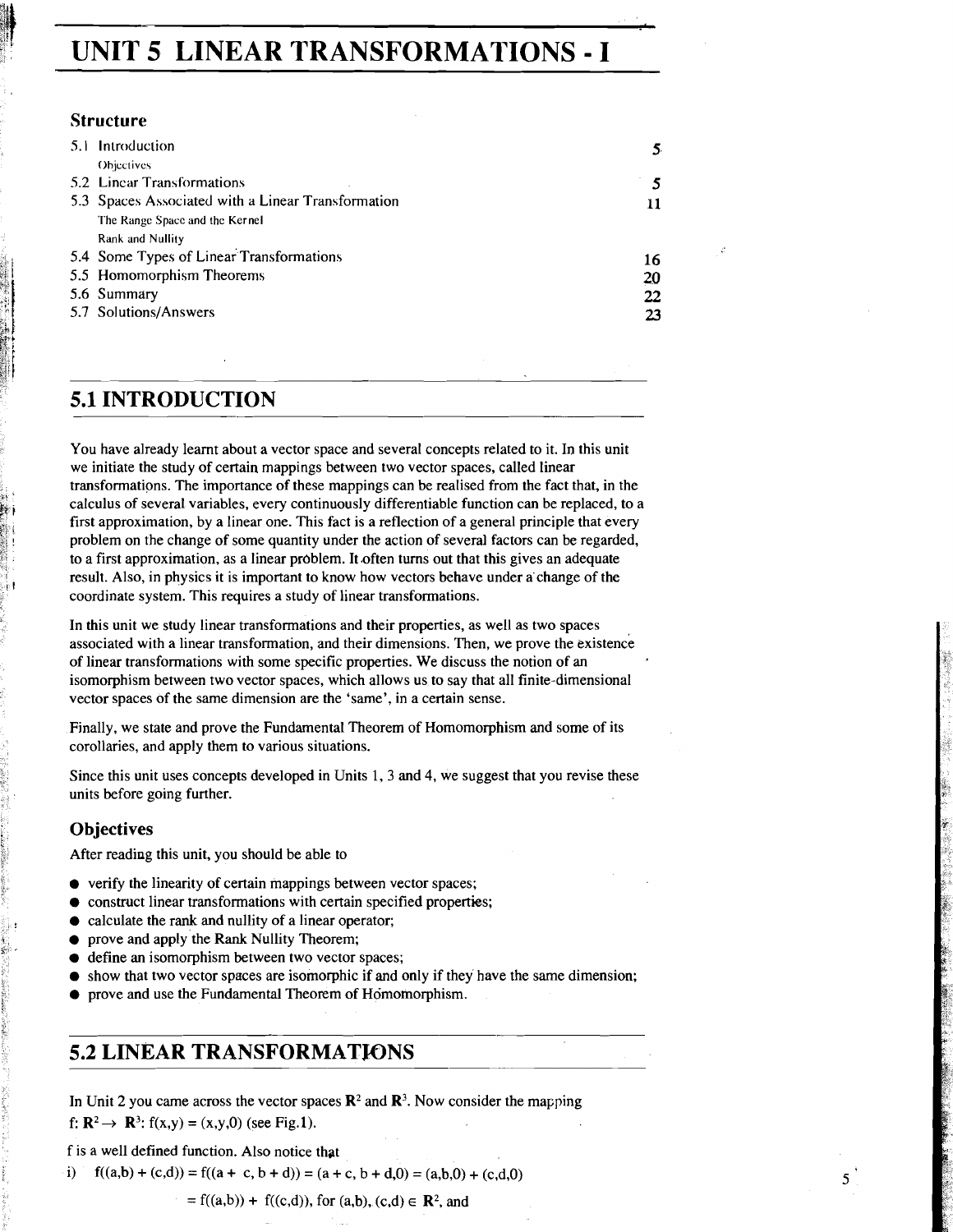## **UNIT 5 LINEAR TRANSFORMATIONS** - **I**

#### **Structure**

|  | 5.1 Introduction                                   | 5. |
|--|----------------------------------------------------|----|
|  | Objectives                                         |    |
|  | 5.2 Linear Transformations                         |    |
|  | 5.3 Spaces Associated with a Linear Transformation | 11 |
|  | The Range Space and the Kernel                     |    |
|  | <b>Rank and Nullity</b>                            |    |
|  | 5.4 Some Types of Linear Transformations           | 16 |
|  | 5.5 Homomorphism Theorems                          | 20 |
|  | 5.6 Summary                                        | 22 |
|  | 5.7 Solutions/Answers                              | 23 |

## **5.1 INTRODUCTION**

You have already learnt about a vector space and several concepts related to it. In this unit we initiate the study of certain mappings between two vector spaces, called linear transformations. The importance of these mappings can be realised from the fact that, in the calculus of several variables, every continuously differentiable function can be replaced, to a first approximation, by a linear one. This fact is a reflection of a general principle that every problem on the change of some quantity under the action of several factors can be regarded, to a first approximation, as a linear problem. It often turns out that this gives an adequate result. Also, in physics it is important to know how vectors behave under a'change of the coordinate system. This requires a study of linear transformations.

In this unit we study linear transformations and their properties, as well as two spaces associated with a linear transformation, and their dimensions. Then, we prove the existence of linear transformations with some specific properties. We discuss the notion of an isomorphism between two vector spaces, which allows us to say that all finite-dimensional vector spaces of the same dimension are the 'same', in a certain sense.

Finally, we state and prove the Fundamental Theorem of Homomorphism and some of its corollaries, and apply them to various situations.

Since this unit uses concepts developed in Units 1,3 and 4, we suggest that you revise these units before going further.

#### **Objectives**

After reading this unit, you should be able to

- verify the linearity of certain mappings between vector spaces;
- $\bullet$  construct linear transformations with certain specified properties;
- calculate the rank and nullity of a linear operator;
- prove and apply the Rank Nullity Theorem;
- define an isomorphism between two vector spaces;  $\bullet$
- show that two vector spaces are isomorphic if and only if they have the same dimension;
- prove and use the Fundamental Theorem of Homomorphism.

## **5.2 LINEAR TRANSFORMATJONS**

In Unit 2 you came across the vector spaces  $\mathbb{R}^2$  and  $\mathbb{R}^3$ . Now consider the mapping f:  $\mathbb{R}^2 \to \mathbb{R}^3$ :  $f(x,y) = (x,y,0)$  (see Fig.1).

f is a well defined function. Also notice that

 $f((a,b)+(c,d))=f((a + c, b + d))=(a + c, b + d, 0) = (a,b,0) + (c,d,0)$ 

 $= f((a,b)) + f((c,d))$ , for  $(a,b)$ ,  $(c,d) \in \mathbb{R}^2$ , and

5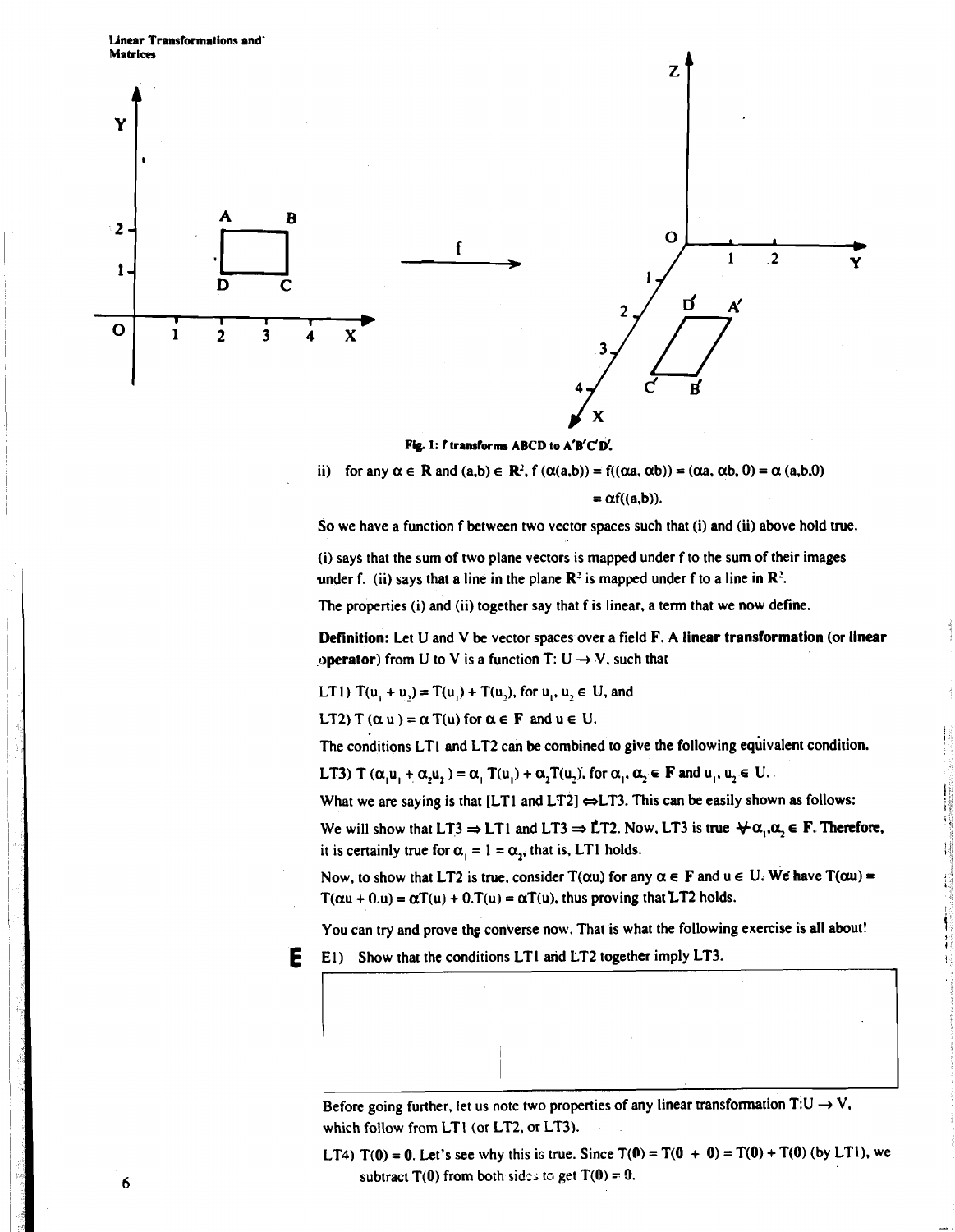**Linear Transformations and' Matrices** 



Fig. 1: **f** transforms ABCD to A'B'C'D'.

$$
\text{ii) for any } \alpha \in \mathbb{R} \text{ and } (a,b) \in \mathbb{R}^2, \, f\left(\alpha(a,b)\right) = f((\alpha a, \alpha b)) = (\alpha a, \alpha b, 0) = \alpha \, (a,b,0)
$$

 $= \alpha f((a,b)).$ 

So we have a function f between two vector spaces such that (i) and (ii) above hold true.

(i) says that the sum of two plane vectors is mapped under f to the sum of their images under f. (ii) says that a line in the plane  $\mathbb{R}^2$  is mapped under f to a line in  $\mathbb{R}^2$ .

The properties (i) and (ii) together say that f is linear. a term that we now define.

Definition: Let U and V be vector spaces over a field F. **A** linear transformation (or linear operator) from U to V is a function T:  $U \rightarrow V$ , such that

LT1)  $T(u_1 + u_2) = T(u_1) + T(u_2)$ , for  $u_1, u_2 \in U$ , and

LT2) T  $(\alpha u) = \alpha T(u)$  for  $\alpha \in F$  and  $u \in U$ .

The conditions LTI and LT2 can be combined to give the following equivalent condition.

LT3) T  $(\alpha, u_1 + \alpha, u_2) = \alpha_1$ ,  $T(u_1) + \alpha_2$ ,  $T(u_2)$ , for  $\alpha_1, \alpha_2 \in \mathbf{F}$  and  $u_1, u_2 \in \mathbf{U}$ .

What we are saying is that  $[LT1$  and  $LT2] \Leftrightarrow LT3$ . This can be easily shown as follows:

We will show that LT3  $\Rightarrow$  LT1 and LT3  $\Rightarrow$  LT2. Now, LT3 is true  $\forall \alpha_i, \alpha_j \in \mathbf{F}$ . Therefore, it is certainly true for  $\alpha_1 = 1 = \alpha_2$ , that is, LT1 holds.

Now, to show that LT2 is true, consider  $T(\alpha u)$  for any  $\alpha \in F$  and  $u \in U$ . We have  $T(\alpha u) =$  $T(\alpha u + 0.u) = \alpha T(u) + 0.T(u) = \alpha T(u)$ , thus proving that LT2 holds.

You can try and prove the converse now. That is what the following exercise is all about!

1



Before going further, let us note two properties of any linear transformation  $T:U\to V$ , which follow from LTI (or LT2, or LT3).

LT4)  $T(0) = 0$ . Let's see why this is true. Since  $T(0) = T(0 + 0) = T(0) + T(0)$  (by LT1), we subtract  $T(0)$  from both sides to get  $T(0) = 0$ .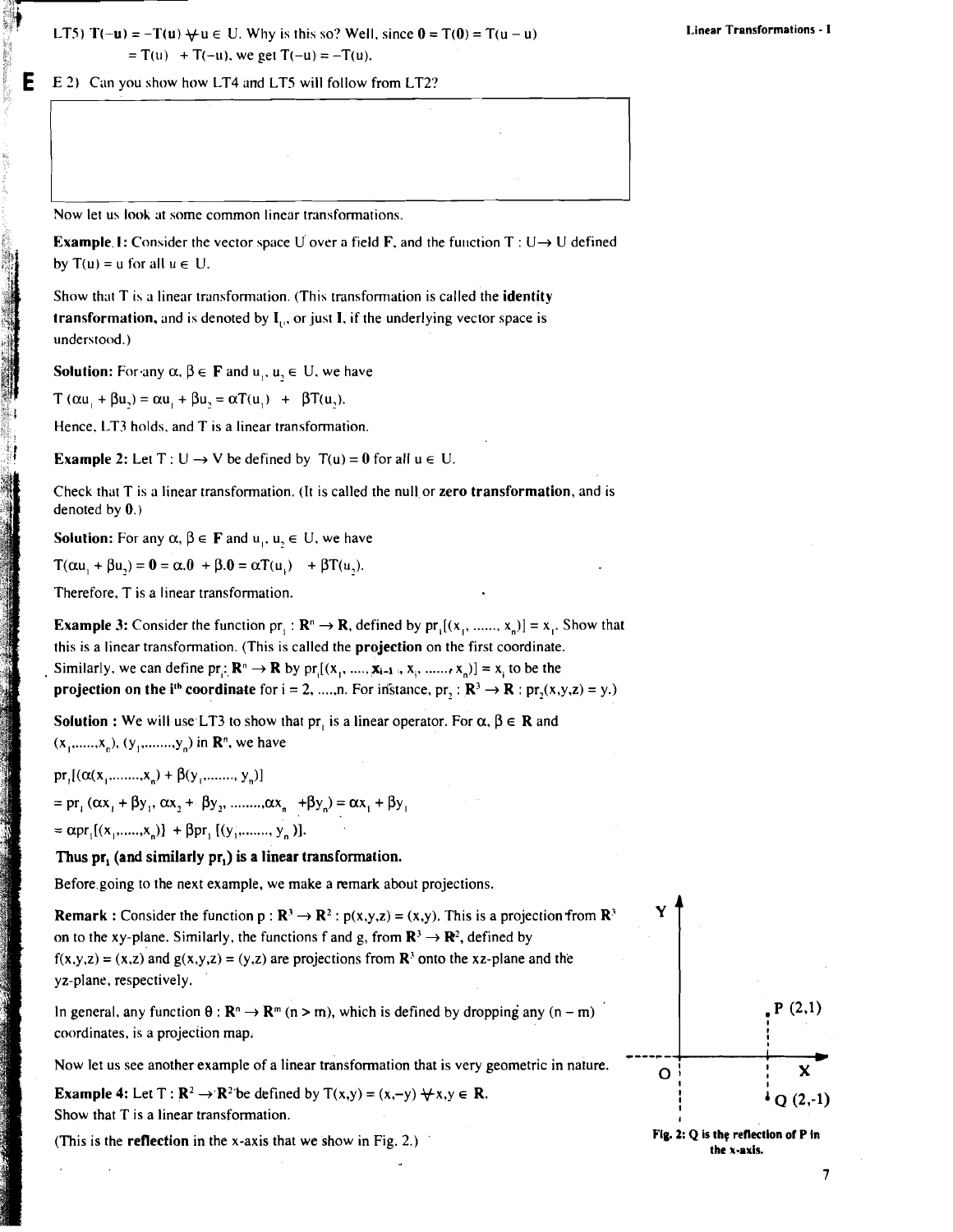LT5)  $T(-u) = -T(u) + u \in U$ . Why is this so? Well, since  $0 = T(0) = T(u - u)$  $= T(u) + T(-u)$ , we get  $T(-u) = -T(u)$ .

E 2) Can you show how LT4 and LT5 will follow from LT2?

Now let us look at some common linear transformations.

**Example. 1:** Consider the vector space U over a field F, and the function T : U  $\rightarrow$  U defined by  $T(u) = u$  for all  $u \in U$ .

Show that  $T$  is a linear transformation. (This transformation is called the identity transformation, and is denoted by  $I_{\alpha}$ , or just I, if the underlying vector space is understood.)

**Solution:** For any  $\alpha$ ,  $\beta \in \mathbf{F}$  and  $\mu$ ,  $\mu$ ,  $\in \mathbf{U}$ , we have

 $T(\alpha u_+ + \beta u_2) = \alpha u_+ + \beta u_2 = \alpha T(u_1) + \beta T(u_2).$ 

Hence, LT3 holds, and T is a linear transformation.

**Example 2:** Let  $T: U \rightarrow V$  be defined by  $T(u) = 0$  for all  $u \in U$ .

Check that  $T$  is a linear transformation. (It is called the null or zero transformation, and is denoted by  $0$ .)

**Solution:** For any  $\alpha$ ,  $\beta \in \mathbf{F}$  and  $\alpha$ ,  $\alpha$ ,  $\in \mathbf{U}$ , we have

 $T(\alpha u_1 + \beta u_2) = 0 = \alpha.0 + \beta.0 = \alpha T(u_1) + \beta T(u_2).$ 

Therefore, T is a linear transformation.

**Example 3:** Consider the function pr, :  $\mathbb{R}^n \to \mathbb{R}$ , defined by pr,  $[(x_1, \dots, x_n)] = x_i$ . Show that this is a linear transformation. (This is called the projection on the first coordinate. Similarly, we can define  $pr: \mathbb{R}^n \to \mathbb{R}$  by  $pr_i[(x_1, ..., x_{i-1}, x_i, ..., x_n)] = x_i$  to be the **projection on the i<sup>th</sup> coordinate** for  $i = 2, ..., n$ . For instance,  $pr_1 : \mathbb{R}^3 \to \mathbb{R} : pr_2(x,y,z) = y$ .)

Solution : We will use LT3 to show that pr, is a linear operator. For  $\alpha$ ,  $\beta \in \mathbb{R}$  and  $(x_1, \ldots, x_n), (y_1, \ldots, y_n)$  in  $\mathbb{R}^n$ , we have

pr,  $[(\alpha(x_1, \ldots, x_n) + \beta(y_1, \ldots, y_n)]$ 

 $=$  pr<sub>i</sub> ( $\alpha x$ , +  $\beta y$ <sub>i</sub>,  $\alpha x$ , +  $\beta y$ <sub>2</sub>, ........, $\alpha x_n$  +  $\beta y_n$ ) =  $\alpha x_1 + \beta y_1$ 

 $= \alpha \text{pr}_{1}[(x_{1},...,x_{n})] + \beta \text{pr}_{1}[(y_{1},...,y_{n})].$ 

#### **Thus** pr, (and similarly pr,) is a linear transformation.

Before.going to the next example, we make a remark about projections.

**Remark :** Consider the function  $p : \mathbb{R}^3 \to \mathbb{R}^2$  :  $p(x,y,z) = (x,y)$ . This is a projection from  $\mathbb{R}^3$ on to the xy-plane. Similarly, the functions f and g, from  $\mathbb{R}^3 \to \mathbb{R}^2$ , defined by  $f(x,y,z) = (x,z)$  and  $g(x,y,z) = (y,z)$  are projections from  $\mathbb{R}^3$  onto the xz-plane and the yz-plane, respectively.

In general, any function  $\theta$ :  $\mathbb{R}^n \to \mathbb{R}^m$  (n > m), which is defined by dropping any (n - m) coordinates, is a projection map.

Now let us see another example of a linear transformation that is very geometric in nature.

**Example 4:** Let  $T : \mathbb{R}^2 \to \mathbb{R}^2$  be defined by  $T(x,y) = (x,-y) \forall x,y \in \mathbb{R}$ . Show that T is a linear transformation.

(This is the reflection in the x-axis that we show in Fig. 2.)



**Fig. 2: Q is thg renectlon of P In the x-axis.** 

 $\overline{7}$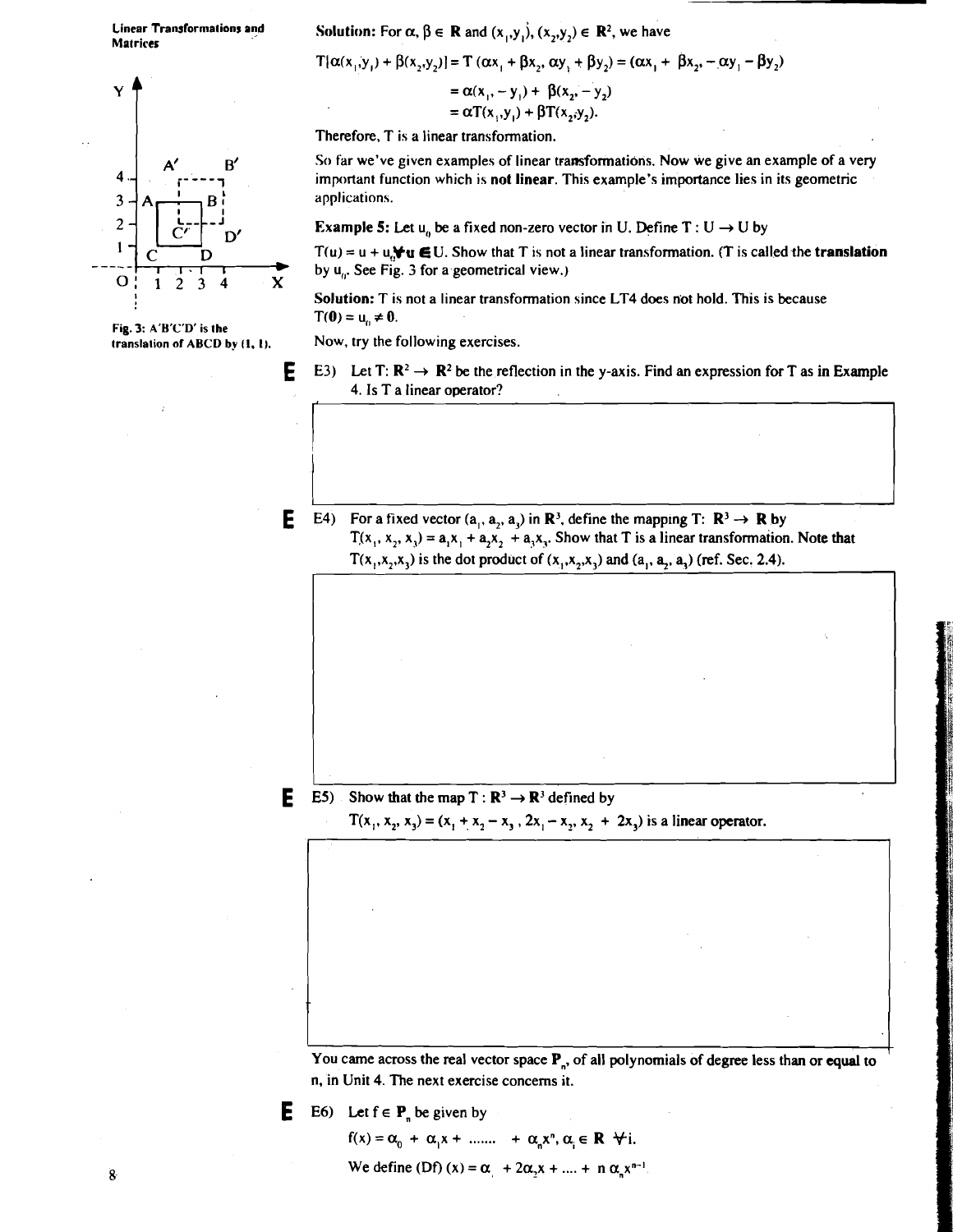**Matrices** 

# $Y = \alpha(x_1, -y_1) + \beta(x_2, -y_2)$ <br>=  $\alpha T(x_1, y_1) + \beta T(x_2, y_2)$ .<br>Therefore, T is a linear transformation.  $\overline{\mathbf{4}}$ 3  $\overline{2}$  $\mathbf{1}$  $O: 1234$  X

**Fig. 3: A'B'C'D' is the** 

## Linear Transformations and **Solution:** For  $\alpha$ ,  $\beta \in \mathbb{R}$  and  $(x_1, y_1)$ ,  $(x_2, y_2) \in \mathbb{R}^2$ , we have

$$
T\{\alpha(x_1, y_1) + \beta(x_2, y_2)\} = T(\alpha x_1 + \beta x_2, \alpha y_1 + \beta y_2) = (\alpha x_1 + \beta x_2, -\alpha y_1 - \beta y_2)
$$
  
=  $\alpha(x_1, -y_1) + \beta(x_2, -y_2)$   
=  $\alpha T(x_1, y_1) + \beta T(x_2, y_2).$ 

Therefore, T is a linear transformation.

So far we've given examples of linear transformations. Now we give an example of a very important function which is not linear. This example's importance lies in its geometric applications.

Example 5: Let  $u_n$  be a fixed non-zero vector in U. Define T : U  $\rightarrow$  U by

 $T(u) = u + u$ ,  $\forall u \in U$ . Show that T is not a linear transformation. (T is called the **translation** by u,,. See Fig. **3** for a geometrical view.)

Solution: T is not a linear transformation since LT4 does not hold. This is because  $T(0) = u_0 \neq 0.$ 

Now, try the following exercises.

- **E** E3) Let T:  $\mathbb{R}^2 \to \mathbb{R}^2$  be the reflection in the y-axis. Find an expression for T as in Example 4. Is T a linear operator?
- **E** E4) For a fixed vector  $(a_1, a_2, a_3)$  in  $\mathbb{R}^3$ , define the mapping T:  $\mathbb{R}^3 \to \mathbb{R}$  by  $T(x_1, x_2, x_3) = a_1x_1 + a_2x_2 + a_3x_3$ . Show that T is a linear transformation. Note that  $T(x_1, x_2, x_3)$  is the dot product of  $(x_1, x_2, x_3)$  and  $(a_1, a_2, a_3)$  (ref. Sec. 2.4).

**E** E5) Show that the map  $T : \mathbb{R}^3 \to \mathbb{R}^3$  defined by

 $T(x_1, x_2, x_3) = (x_1 + x_2 - x_3, 2x_1 - x_2, x_2 + 2x_3)$  is a linear operator.

You came across the real vector space P<sub>n</sub>, of all polynomials of degree less than or equal to n, in Unit 4. The next exercise concerns it.

**E** E6) Let  $f \in P$  be given by

$$
f(x) = \alpha_0 + \alpha_1 x + \dots + \alpha_n x^n, \alpha_i \in \mathbb{R} \quad \forall i.
$$
  
We define (Df)  $(x) = \alpha_1 + 2\alpha_2 x + \dots + n \alpha_n x^{n-1}$ .

 $\bf{8}$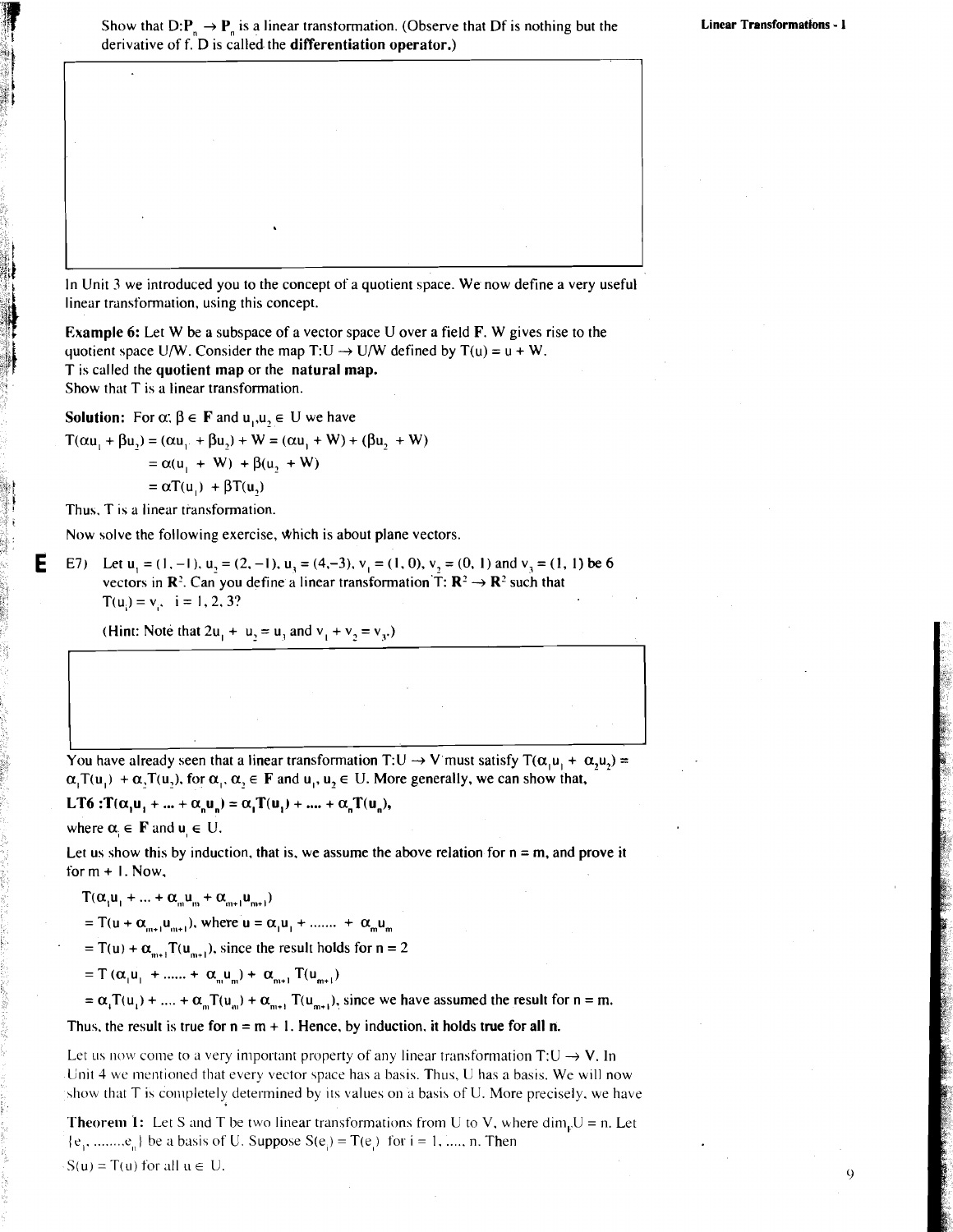$\mathbf Q$ 

In Unit 3 we introduced you to the concept of a quotient space. We now define a very useful linear transformation, using this concept.

Example 6: Let W be a subspace of a vector space U over a field F. W gives rise to the quotient space U/W. Consider the map T:U  $\rightarrow$  U/W defined by T(u) = u + W. T is called the quotient map or the natural map. Show that T is a linear transformation.

**Solution:** For  $\alpha$ :  $\beta \in \mathbf{F}$  and  $u_1, u_2 \in \mathbf{U}$  we have  $T(\alpha u_1 + \beta u_2) = (\alpha u_1 + \beta u_2) + W = (\alpha u_1 + W) + (\beta u_2 + W)$  $=\alpha(u_1 + W) + \beta(u_2 + W)$  $= \alpha T(u_+) + \beta T(u_2)$ 

Thus. T is a linear transformation.

Е

Now solve the following exercise, which is about plane vectors.

E7) Let  $u_1 = (1, -1)$ ,  $u_2 = (2, -1)$ ,  $u_3 = (4, -3)$ ,  $v_1 = (1, 0)$ ,  $v_2 = (0, 1)$  and  $v_3 = (1, 1)$  be 6 vectors in  $\mathbb{R}^2$ . Can you define a linear transformation  $\mathbb{T}$ :  $\mathbb{R}^2 \rightarrow \mathbb{R}^2$  such that  $T(u_i) = v_i$ , i = 1, 2, 3?

(Hint: Note that  $2u_1 + u_2 = u_3$  and  $v_1 + v_2 = v_3$ .)

You have already seen that a linear transformation T:U  $\rightarrow$  V must satisfy T( $\alpha_1u_1 + \alpha_2u_2$ ) =  $\alpha_i$ T(u<sub>i</sub>) +  $\alpha$ ,T(u<sub>i</sub>), for  $\alpha_i$ ,  $\alpha_j \in F$  and  $u_i$ ,  $u_j \in U$ . More generally, we can show that,

LT6 : $T(\alpha, u_1 + ... + \alpha_n u_n) = \alpha_1 T(u_1) + ... + \alpha_n T(u_n),$ 

where  $\alpha_i \in \mathbf{F}$  and  $\mathbf{u}_i \in \mathbf{U}$ .

Let us show this by induction, that is, we assume the above relation for  $n = m$ , and prove it for  $m + 1$ . Now,

$$
T(\alpha_1 u_1 + \dots + \alpha_m u_m + \alpha_{m+1} u_{m+1})
$$

= T(u +  $\alpha_{m+1}u_{m+1}$ ), where  $u = \alpha_1u_1 + \dots + \alpha_mu_m$ 

= T(u) +  $\alpha_{m+1}$ T(u<sub>m+1</sub>), since the result holds for n = 2

= T  $(\alpha_1 u_1 + \ldots + \alpha_n u_n) + \alpha_{n+1} T(u_{m+1})$ 

 $= \alpha_1 T(u_1) + ... + \alpha_m T(u_m) + \alpha_{m+1} T(u_{m+1}),$  since we have assumed the result for  $n = m$ .

Thus, the result is true for  $n = m + 1$ . Hence, by induction, it holds true for all n.

Let us now come to a very important property of any linear transformation  $T:U \rightarrow V$ . In Unit 4 wc mentioned that every vector space has a basis. Thus, U has a basis. We will now show that T is completely determined by its values on a basis of U. More precisely. we have

**Theorem 1:** Let S and T be two linear transformations from U to V, where dim<sub>n</sub>U = n. Let  $\{e_1, \ldots, e_n\}$  be a basis of U. Suppose  $S(e_i) = T(e_i)$  for  $i = 1, \ldots, n$ . Then  $S(u) = T(u)$  for all  $u \in U$ .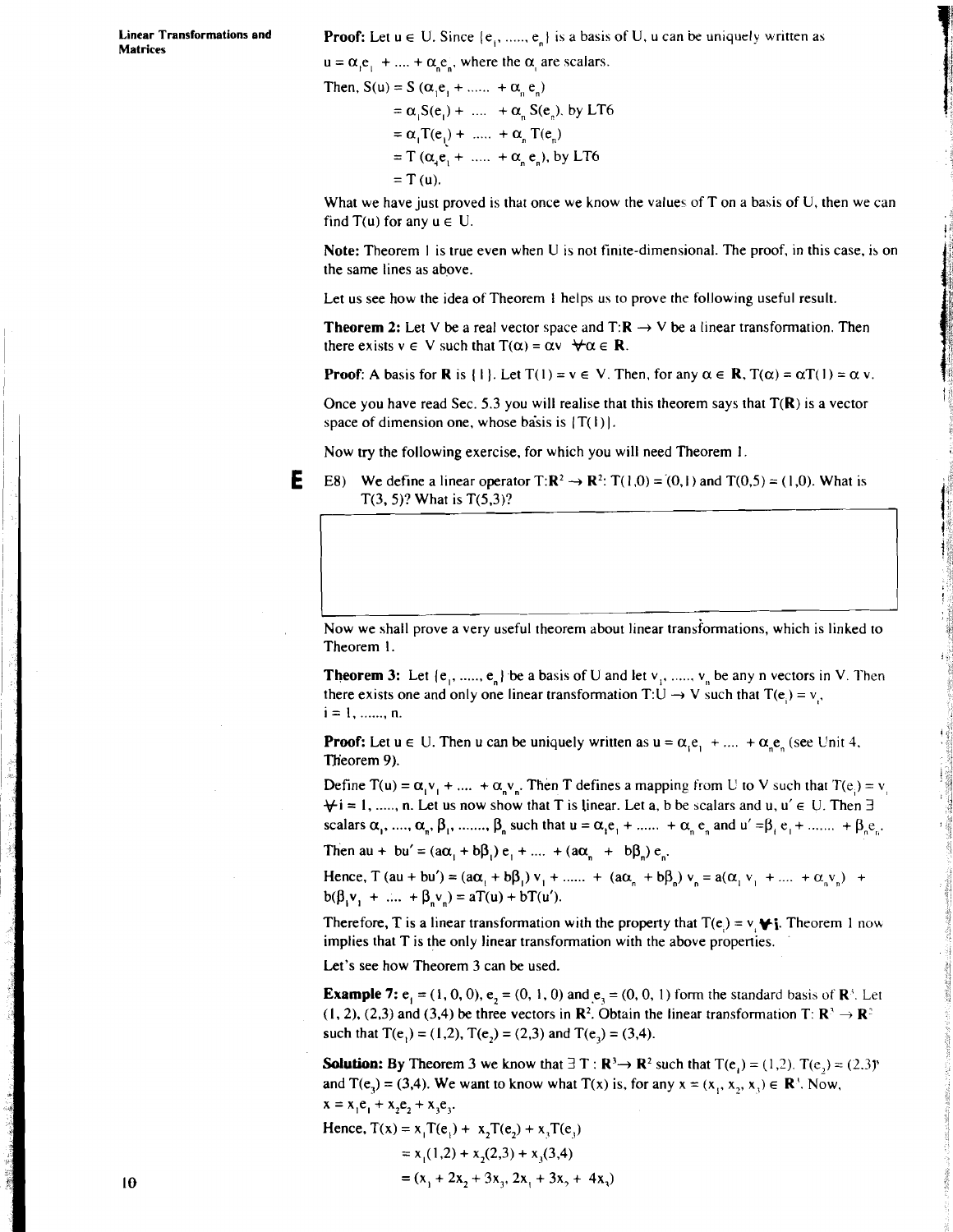**Matrices** 

**Linear Transformations and <b>Proof:** Let  $u \in U$ . Since  $\{e_1, \ldots, e_n\}$  is a basis of U,  $u$  can be uniquely written as

 $u = \alpha_1 e_1 + ... + \alpha_n e_n$ , where the  $\alpha_1$  are scalars.

Then, S(u) = S (
$$
\alpha_1 e_1 + ...... + \alpha_n e_n
$$
)  
\n=  $\alpha_1 S(e_1) + ...... + \alpha_n S(e_n)$ , by LT6  
\n=  $\alpha_1 T(e_1) + ...... + \alpha_n T(e_n)$   
\n=  $T (\alpha_1 e_1 + ...... + \alpha_n e_n)$ , by LT6  
\n=  $T (u)$ .

What we have just proved is that once we know the values of T on a basis of U, then we can find  $T(u)$  for any  $u \in U$ .

**Note:** Theorem 1 is true even when U is not finite-dimensional. The proof, in this case, is on the same lines as above.

Let us see how the idea of Theorem 1 helps us to prove the following useful result.

**Theorem 2:** Let V be a real vector space and  $T: \mathbb{R} \to V$  be a linear transformation. Then there exists  $v \in V$  such that  $T(\alpha) = \alpha v \quad \forall \alpha \in \mathbb{R}$ .

**Proof:** A basis for **R** is {1}. Let  $T(1) = v \in V$ . Then, for any  $\alpha \in \mathbb{R}$ ,  $T(\alpha) = \alpha T(1) = \alpha v$ .

Once you have read Sec. 5.3 you will realise that this theorem says that  $T(R)$  is a vector space of dimension one, whose basis is  $(T(1))$ .

Now try the following exercise, for which you will need Theorem I

**E** E8) We define a linear operator  $T: \mathbb{R}^2 \to \mathbb{R}^2$ :  $T(1,0) = (0,1)$  and  $T(0,5) = (1,0)$ . What is  $T(3, 5)$ ? What is  $T(5, 3)$ ?

-- I Now we shall prove a very useful theorem about linear transiormations, which is linked to Theorem I.

**Theorem 3:** Let  $\{e_1, \ldots, e_n\}$  be a basis of U and let  $v_1, \ldots, v_n$  be any n vectors in V. Then there exists one and only one linear transformation T:U  $\rightarrow$  V such that T(e<sub>i</sub>) = v<sub>i</sub>. **i=l,** ....... n.

**Proof:** Let  $u \in U$ . Then u can be uniquely written as  $u = \alpha_i e_1 + \dots + \alpha_n e_n$  (see Unit 4, Theorem 9).

Define  $T(u) = \alpha_1 v_1 + ... + \alpha_n v_n$ . Then T defines a mapping from U to V such that  $T(e_i) = v_i$  $\forall i = 1, \dots, n$ . Let us now show that T is linear. Let a, b be scalars and u,  $u' \in U$ . Then  $\exists$ scalars  $\alpha_1, ..., \alpha_n, \beta_1, ..., \beta_n$  such that  $u = \alpha_1 e_1 + ... + \alpha_n e_n$  and  $u' = \beta_1 e_1 + ... + \beta_n e_n$ .

Then  $au + bu' = (a\alpha_1 + b\beta_1)e_1 + \dots + (a\alpha_n + b\beta_n)e_n$ .

Hence,  $T (au + bu') = (a\alpha_1 + b\beta_1)v_1 + \dots + (a\alpha_n + b\beta_n)v_n = a(\alpha_1v_1 + \dots + \alpha_nv_n) +$  $b(\beta_1 v_1 + \dots + \beta_n v_n) = aT(u) + bT(u').$ 

Therefore, **T** is a linear transformation with the property that  $T(e) = v \cdot \psi$ ; Theorem 1 now implies that T is the only linear transformation with the above properties.

Let's see how Theorem 3 can be used.

**Example 7:**  $e_1 = (1, 0, 0)$ ,  $e_2 = (0, 1, 0)$  and  $e_3 = (0, 0, 1)$  form the standard basis of  $\mathbb{R}^3$ . Let (1, 2), (2,3) and (3,4) be three vectors in  $\mathbb{R}^2$ . Obtain the linear transformation T:  $\mathbb{R}^3 \to \mathbb{R}^2$ such that  $T(e_1) = (1,2)$ ,  $T(e_2) = (2,3)$  and  $T(e_3) = (3,4)$ .

**Solution:** By Theorem 3 we know that  $\exists$  T :  $\mathbb{R}^3 \rightarrow \mathbb{R}^2$  such that  $T(e_i) = (1,2)$ .  $T(e_i) = (2,3)$ <sup>n</sup> and  $T(e_1) = (3, 4)$ . We want to know what  $T(x)$  is, for any  $x = (x_1, x_2, x_3) \in \mathbb{R}^3$ . Now,

$$
x = x_1 e_1 + x_2 e_2 + x_3 e_3.
$$

Hence, 
$$
T(x) = x_1 T(e_1) + x_2 T(e_2) + x_3 T(e_3)
$$
  
=  $x_1(1,2) + x_2(2,3) + x_3(3,4)$   
=  $(x_1 + 2x_2 + 3x_3, 2x_1 + 3x_2 + 4x_3)$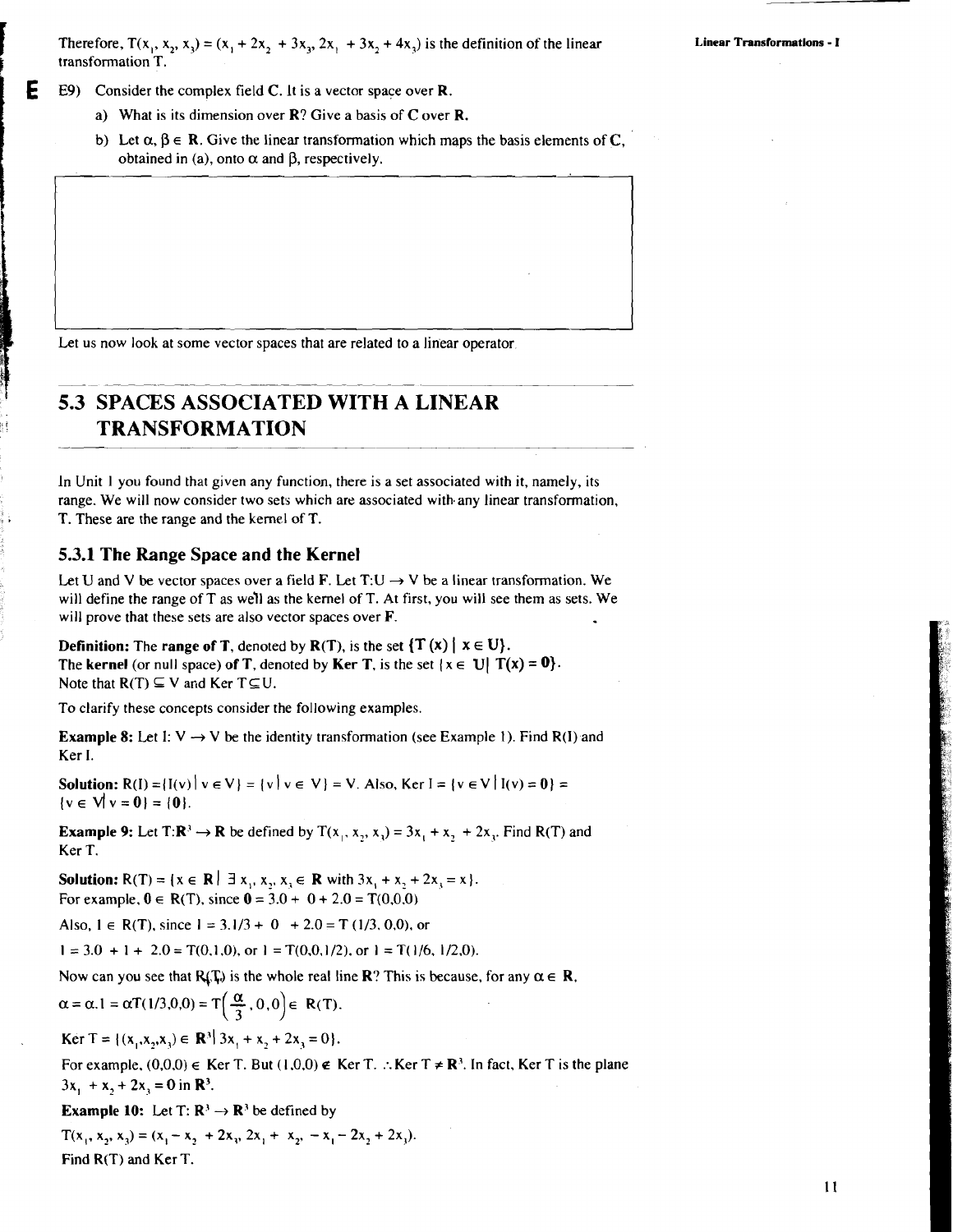Therefore,  $T(x_1, x_2, x_3) = (x_1 + 2x_2 + 3x_3, 2x_1 + 3x_2 + 4x_3)$  is the definition of the linear transformation T.

**E9)** Consider the complex field C. It is a vector space over **R**.

- a) What is its dimension over R? Give a basis of C over R.
- b) Let  $\alpha, \beta \in \mathbb{R}$ . Give the linear transformation which maps the basis elements of C, obtained in (a), onto  $\alpha$  and  $\beta$ , respectively.

Let us now look at some vector spaces that are related to a linear operator.

## **I 5.3 SPACES ASSOCIATED WITH A LINEAR TRANSFORMATION**

In Unit 1 you found that given any function, there is a set associated with it, namely, its range. We will now consider two sets which are associated with any linear transformation, T. These are the range and the kernel of T.

#### **5.3.1 The Range Space and the Kernel**

Let U and V be vector spaces over a field **F**. Let T:U  $\rightarrow$  V be a linear transformation. We will define the range of T as we'll as the kernel of T. At first, you will see them as sets. We will prove that these sets are also vector spaces over F.

**Definition:** The **range of T**, denoted by  $R(T)$ , is the set  $\{T(x) | x \in U\}$ . The **kernel** (or null space) of **T**, denoted by **Ker T**, is the set  $\{x \in U | T(x) = 0\}$ . Note that  $R(T) \subseteq V$  and Ker  $T \subseteq U$ .

To clarify these concepts consider the following examples.

**Example 8:** Let I:  $V \rightarrow V$  be the identity transformation (see Example 1). Find R(I) and Ker I.

**Solution:**  $R(I) = |I(v)| v \in V$  =  $\{v | v \in V\} = V$ . Also, Ker I =  $\{v \in V | I(v) = 0\}$  =  $\{v \in V | v = 0\} = \{0\}.$ 

**Example 9:** Let  $T: \mathbb{R}^3 \to \mathbb{R}$  be defined by  $T(x_1, x_2, x_3) = 3x_1 + x_2 + 2x_3$ . Find R(T) and Ker T.

**Solution:**  $R(T) = \{x \in \mathbb{R} \mid \exists x_1, x_2, x_3 \in \mathbb{R} \text{ with } 3x_1 + x_2 + 2x_3 = x\}.$ For example,  $0 \in R(T)$ , since  $0 = 3.0 + 0 + 2.0 = T(0,0,0)$ 

Also,  $1 \in R(T)$ , since  $1 = 3.1/3 + 0 + 2.0 = T(1/3, 0.0)$ , or

 $1 = 3.0 + 1 + 2.0 = T(0,1,0)$ , or  $1 = T(0,0,1/2)$ , or  $1 = T(1/6, 1/2,0)$ .

Now can you see that  $R_i(T_i)$  is the whole real line **R**? This is because, for any  $\alpha \in \mathbb{R}$ ,

$$
\alpha = \alpha.1 = \alpha T(1/3,0,0) = T\left(\frac{\alpha}{3},0,0\right) \in R(T).
$$

$$
\text{Ker } T = \{ (x_1, x_2, x_3) \in \mathbb{R}^3 \mid 3x_1 + x_2 + 2x_3 = 0 \}.
$$

For example,  $(0,0,0) \in$  Ker T. But  $(1,0,0) \notin$  Ker T. :. Ker T  $\neq$  R<sup>3</sup>. In fact, Ker T is the plane  $3x_1 + x_2 + 2x_3 = 0$  in  $\mathbb{R}^3$ .

**Example 10:** Let T:  $\mathbb{R}^3 \to \mathbb{R}^3$  be defined by

 $T(x_1, x_2, x_3) = (x_1 - x_2 + 2x_3, 2x_1 + x_2, -x_1 - 2x_2 + 2x_3).$ Find R(T) and Ker T.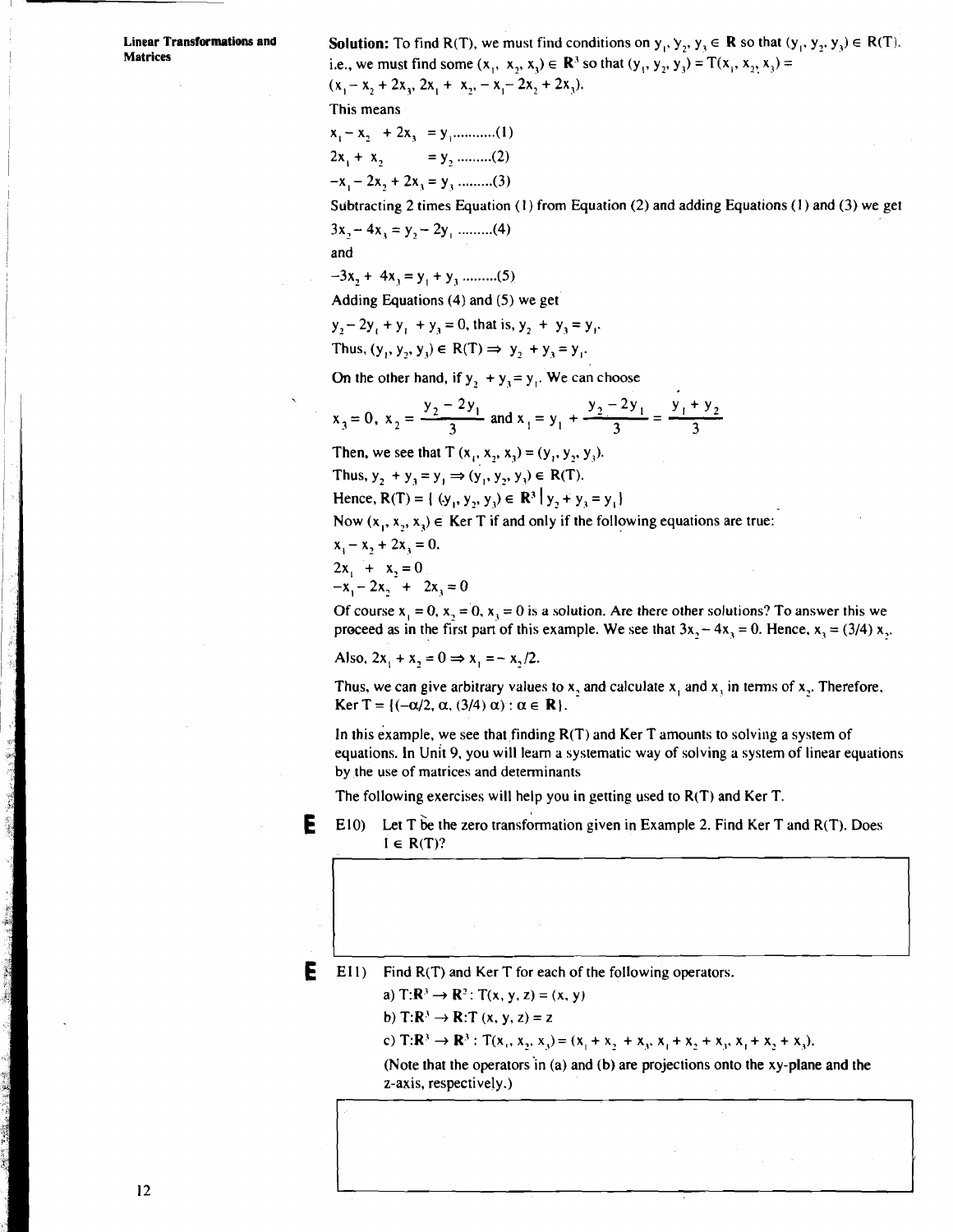**Linear Transformations and Solution:** To find R(T), we must find conditions on  $y_1, y_2, y_3 \in \mathbb{R}$  so that  $(y_1, y_2, y_3) \in \mathbb{R}(\mathbb{T})$ . i.e., we must find some  $(x_1, x_2, x_3) \in \mathbb{R}^3$  so that  $(y_1, y_2, y_3) = T(x_1, x_2, x_3) =$ 

 $(x, -x, +2x, 2x + x_{2}, -x, -2x, +2x_{3}).$ 

This means

XI- X? + 2x3 = y , ........... (I) 2x, + **x,** - - y, ......... (2)  $-x_i - 2x_2 + 2x_3 = y_3$  ..........(3)

Subtracting 2 times Equation (1) from Equation (2) and adding Equations (1) and (3) we get 3x, - 4x, = y, - 2y, ......... (4)

and

-3x2 + 4x, = y, + y, ......... (5)

Adding Equations (4) and (5) we get

 $y_2-2y_1+y_1+y_2=0$ , that is,  $y_2+y_1=y_1$ .

Thus,  $(y_1, y_2, y_3) \in R(T) \implies y_2 + y_3 = y_1$ .

On the other hand, if  $y_2 + y_3 = y_1$ . We can choose

$$
x_3 = 0
$$
,  $x_2 = \frac{y_2 - 2y_1}{3}$  and  $x_1 = y_1 + \frac{y_2 - 2y_1}{3} = \frac{y_1 + y_2}{3}$ 

Then, we see that  $T(x_1, x_2, x_3) = (y_1, y_2, y_3)$ .

Thus,  $y_2 + y_3 = y_1 \Rightarrow (y_1, y_2, y_3) \in R(T)$ .

Hence,  $R(T) = \{ (y_1, y_2, y_3) \in \mathbb{R}^3 \mid y_2 + y_3 = y_1 \}$ 

Now  $(x_1, x_2, x_3) \in$  Ker T if and only if the following equations are true:

 $x_1 - x_2 + 2x_3 = 0.$  $2x_1 + x_2 = 0$  $-x_1 - 2x_2 + 2x_3 = 0$ 

Of course  $x_1 = 0$ ,  $x_2 = 0$ ,  $x_3 = 0$  is a solution. Are there other solutions? To answer this we proceed as in the first part of this example. We see that  $3x, -4x, = 0$ . Hence,  $x, = (3/4)x,$ .

Also,  $2x_1 + x_2 = 0 \Rightarrow x_1 = -x_1/2$ .

Thus, we can give arbitrary values to x, and calculate  $x_1$  and  $x_2$  in terms of x,. Therefore, Ker T = { $(-\alpha/2, \alpha, (3/4) \alpha)$  :  $\alpha \in \mathbb{R}$  }.

In this example, we see that finding  $R(T)$  and Ker T amounts to solving a system of equations. In Unit 9, you will learn a systematic way of solving a system of linear equations by the use of matrices and determinants

The following exercises will help you in getting used to R(T) and Ker T.



Е **El 1)** Find R(T) and Ker T for each of the following operators.

a)  $T: \mathbb{R}^3 \to \mathbb{R}^2$ :  $T(x, y, z) = (x, y)$ 

b)  $\mathbf{T}:\mathbf{R}^3 \to \mathbf{R}:\mathbf{T}$  (x, y, z) = z

**c**)  $\mathbf{T:R}^3 \to \mathbf{R}^3$ :  $\mathbf{T}(x_1, x_2, x_3) = (x_1 + x_2 + x_3, x_1 + x_2 + x_3, x_1 + x_2 + x_3).$ 

(Note that the operators'in (a) and (b) are projections onto the xy-plane and the z-axis, respectively.)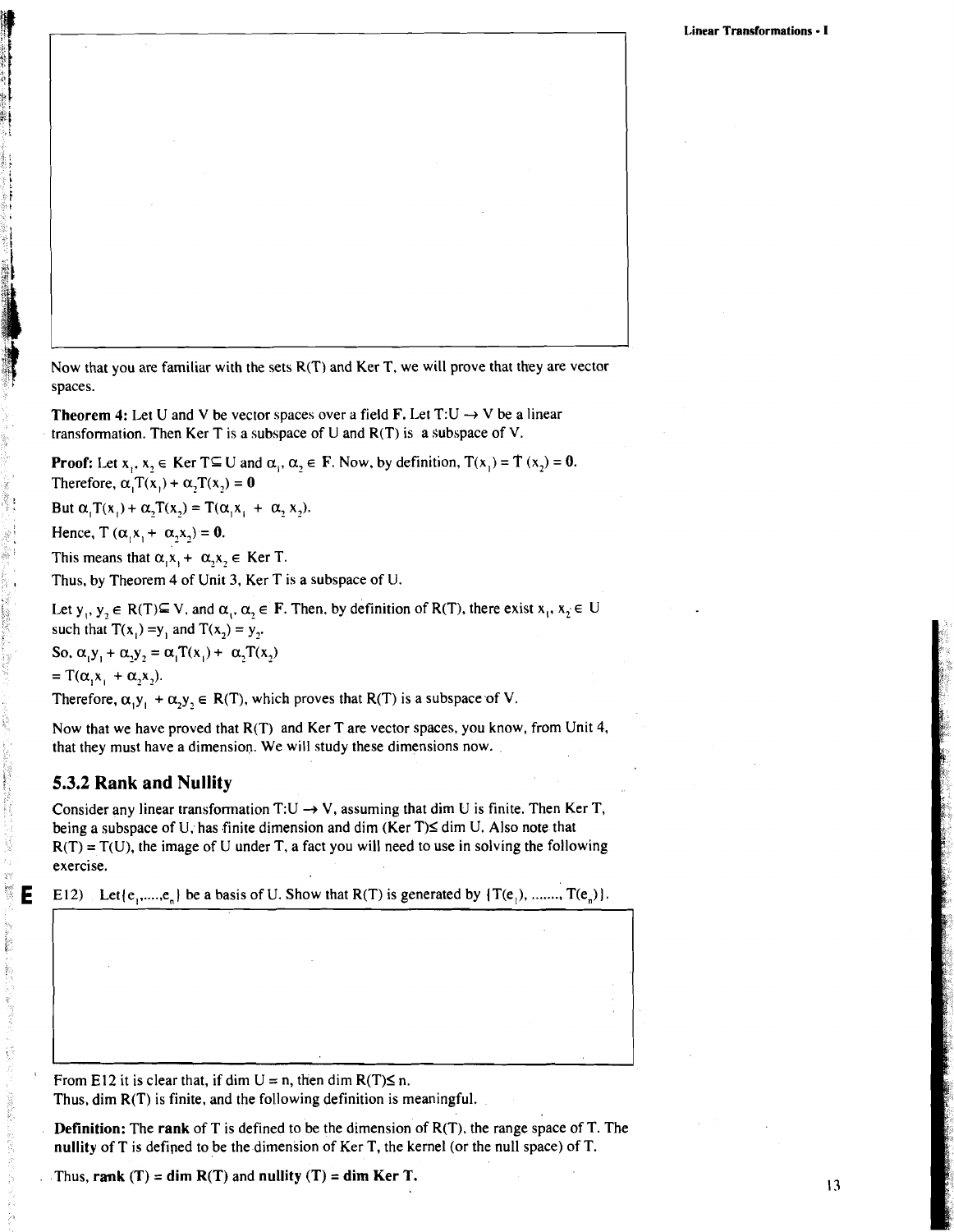Now that you are familiar with the sets R(T) and Ker T, we will prove that they are vector spaces.

**Theorem 4:** Let U and V be vector spaces over a field  $\mathbf{F}$ . Let  $T:U \to V$  be a linear transformation. Then Ker T is a subspace of U and  $R(T)$  is a subspace of V.

**Proof:** Let  $x_1, x_2 \in \text{Ker } T \subseteq U$  and  $\alpha_1, \alpha_2 \in F$ . Now, by definition,  $T(x_1) = T(x_2) = 0$ . Therefore,  $\alpha_1 T(x_1) + \alpha_2 T(x_2) = 0$ 

But  $\alpha_i T(x_i) + \alpha_i T(x_i) = T(\alpha_i x_i + \alpha_i x_i)$ .

Hence,  $T(\alpha, x_1 + \alpha, x_2) = 0$ .

This means that  $\alpha$ ,  $x$ ,  $+ \alpha$ ,  $x$ ,  $\in$  **Ker T**.

Thus, by Theorem 4 of Unit 3, Ker T is a subspace of U.

Let  $y_1, y_2 \in R(T) \subseteq V$ , and  $\alpha_1, \alpha_2 \in F$ . Then, by definition of R(T), there exist  $x_1, x_2 \in U$ such that  $T(x_i) = y_i$  and  $T(x_i) = y_i$ . So,  $\alpha_i y_i + \alpha_j y_j = \alpha_i T(x_i) + \alpha_j T(x_j)$  $=T(\alpha_{1}x_{1} + \alpha_{2}x_{2}).$ Therefore,  $\alpha_1 y_1 + \alpha_2 y_2 \in R(T)$ , which proves that R(T) is a subspace of V.

Now that we have proved that R(T) and Ker T are vector spaces, you know, from Unit 4, that they must have a dimension. We will study these dimensions now.

## **5.3.2 Rank and Nullity**

Consider any linear transformation T:U  $\rightarrow$  V, assuming that dim U is finite. Then Ker T, being a subspace of U, has finite dimension and dim (Ker T) $\leq$  dim U. Also note that  $R(T) = T(U)$ , the image of U under T, a fact you will need to use in solving the following exercise.

E12) Let  $\{e_1, \ldots, e_n\}$  be a basis of U. Show that  $R(T)$  is generated by  $\{T(e_1), \ldots, T(e_n)\}.$ 

I I

From E12 it is clear that, if dim  $U = n$ , then dim  $R(T) \le n$ .

Thus, dim R(T) is finite, and the following definition is meaningful.

**Definition:** The **rank** of T is defined to be the dimension of R(T), the range space of T. The **nullity** of T is defiped to be the dimension of Ker T, the kernel (or the null space) of T.

Thus,  $\text{rank}(T) = \dim R(T)$  and  $\text{nullity}(T) = \dim \text{Ker } T$ .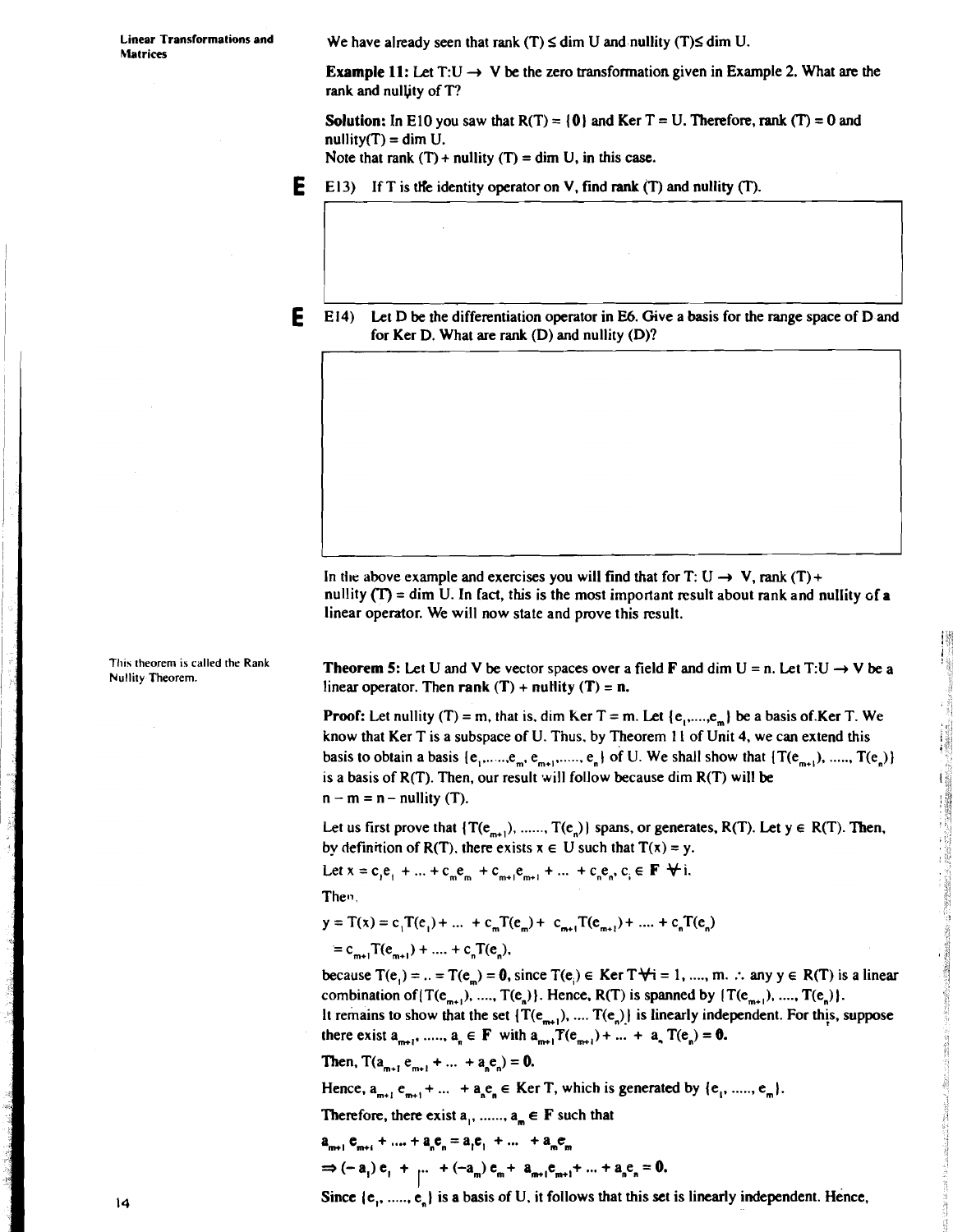**hlatrices** 

Linear Transformations and **We have already seen that rank (T)**  $\leq$  dim U and nullity (T) $\leq$  dim U.

**Example 11:** Let  $T:U \rightarrow V$  be the zero transformation given in Example 2. What are the rank and nullity of T?

**Solution:** In E10 you saw that  $R(T) = \{0\}$  and  $Ker T = U$ . Therefore, rank  $(T) = 0$  and  $nullity(T) = dim U$ .

Note that rank  $(T)$  + nullity  $(T)$  = dim U, in this case.

- **E** El 3) If T is the identity operator on V, find rank (T) and nullity (T).
- E 14) Let D be the differentiation operator in E6. Give a basis for the range space of D and for Ker D. What are rank (D) and nullity (D)?

In the above example and exercises you will find that for  $T: U \rightarrow V$ , rank  $(T)$  + nullity  $(T)$  = dim U. In fact, this is the most important result about rank and nullity of a linear operator. We will now state and prove this result.

This theorem is called the Rank **Theorem 5:** Let U and V be vector spaces over a field **F** and dim U = n. Let T:U  $\rightarrow$  V be a Nullity Theorem. linear operator. Then rank  $(T)$  + nullity  $(T)$  = n.

> **Proof:** Let nullity (T) = m, that is, dim Ker T = m. Let  $\{e_1, \ldots, e_m\}$  be a basis of Ker T. We know that Ker T is a subspace of U. Tnus, by Theorem **1** I of Unit 4, we can extend this basis to obtain a basis  $\{e_1, \ldots, e_m, e_{m+1}, \ldots, e_n\}$  of U. We shall show that  $\{T(e_{m+1}), \ldots, T(e_n)\}$ is a basis of  $R(T)$ . Then, our result will follow because dim  $R(T)$  will be  $n - m = n - nullity(T)$ .

Let us first prove that  $\{T(e_{m+1}), \dots, T(e_n)\}\)$  spans, or generates,  $R(T)$ . Let  $y \in R(T)$ . Then, by definition of R(T). there exists  $x \in U$  such that  $T(x) = y$ .

Let  $x = c_1e_1 + ... + c_me_m + c_{m+1}e_{m+1} + ... + c_ne_n$ ,  $c_i \in \mathbf{F} + i$ .

Then.

 $y = T(x) = c_1T(e_1) + ... + c_mT(e_m) + c_{m+1}T(e_m) + ... + c_nT(e_n)$  $= c_{m+1}T(e_{m+1}) + \dots + c_nT(e_n),$ 

because  $T(e_i) = ... = T(e_m) = 0$ , since  $T(e_i) \in \text{Ker } T \forall i = 1, ..., m$ . :. any  $y \in R(T)$  is a linear combination of  $\{T(e_{m+1}), \ldots, T(e_n)\}\)$ . Hence,  $R(T)$  is spanned by  $\{T(e_{m+1}), \ldots, T(e_n)\}\)$ .

It remains to show that the set  $\{T(e_{n})\}$ , ....  $T(e_n)$  is linearly independent. For this, suppose there exist  $a_{m+1}$ , .....,  $a_n \in F$  with  $a_{m+1}T(e_{m+1}) + ... + a_nT(e_n) = \mathbf{0}$ .

Then,  $T(a_{m+1}^e e_{m+1}^e + ... + a_n^e e_n^e) = 0$ .

Hence,  $a_{m+1}$ ,  $e_{m+1}$  + ... +  $a_n$ ,  $e_n$  E Ker T, which is generated by  $\{e_1, \ldots, e_m\}$ .

Therefore, there exist  $a_1, \ldots, a_m \in F$  such that

$$
a_{m+1} e_{m+1} + \dots + a_n e_n = a_1 e_1 + \dots + a_m e_m
$$
  
\n
$$
\Rightarrow (-a_1) e_1 + \dots + (-a_m) e_m + a_{m+1} e_{m+1} + \dots + a_n e_n = 0
$$

Since  $(e_1, \ldots, e_n)$  is a basis of U, it follows that this set is linearly independent. Hence,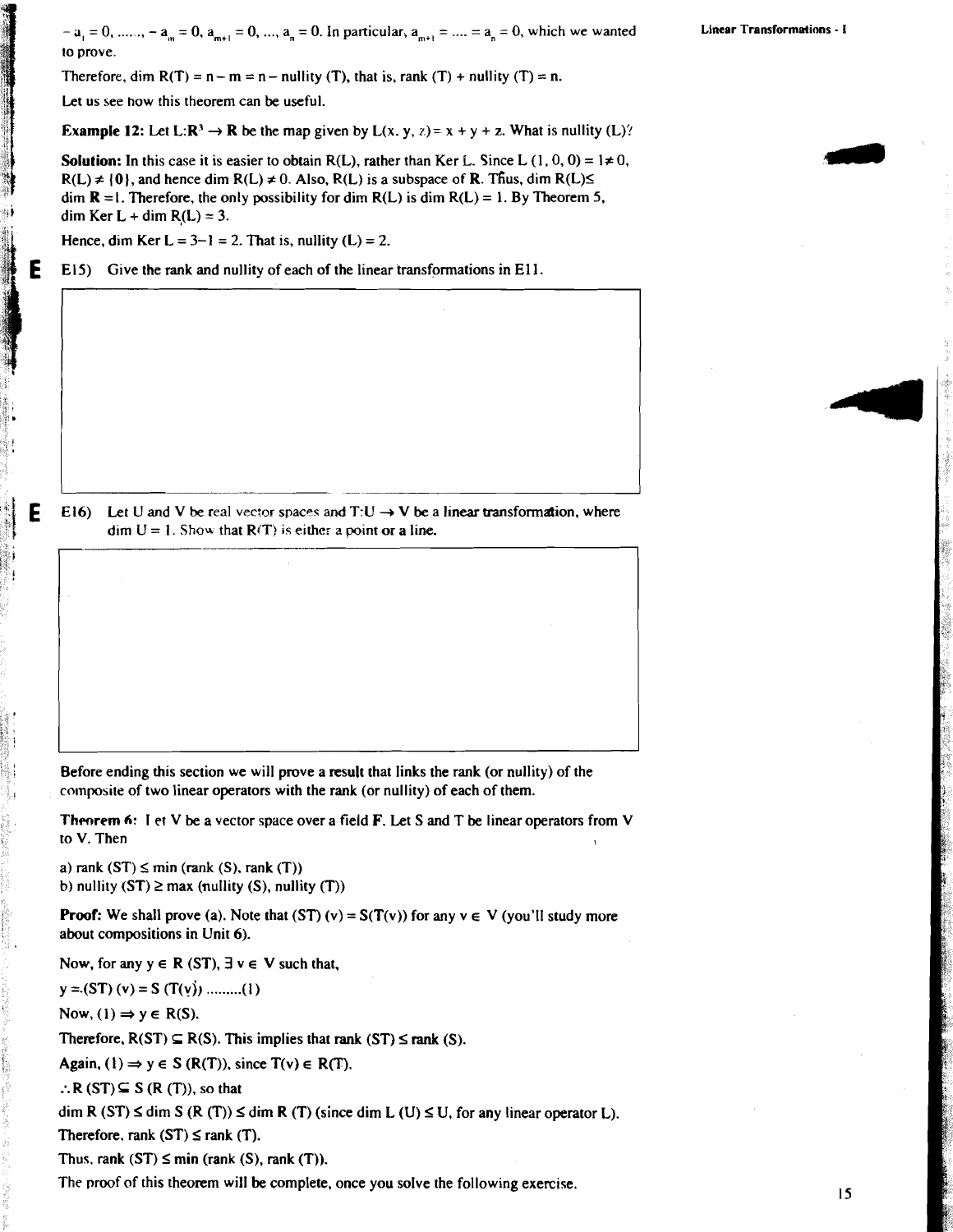$a_1 = 0$ , ......,  $a_m = 0$ ,  $a_{m+1} = 0$ , ...,  $a_n = 0$ . In particular,  $a_{m+1} = ... = a_n = 0$ , which we wanted **Linear Transformations**  $\cdot$  **I** to prove.

Therefore, dim  $R(T) = n - m = n -$  nullity (T), that is, rank (T) + nullity (T) = n.

Let us see how this theorem can be useful.

**Example 12:** Let L: $\mathbb{R}^3 \to \mathbb{R}$  be the map given by L(x, y, z) = x + y + z. What is nullity (L)?

**Solution:** In this case it is easier to obtain  $R(L)$ , rather than Ker L. Since L (1, 0, 0) =  $1 \neq 0$ ,  $R(L) \neq \{0\}$ , and hence dim  $R(L) \neq 0$ . Also,  $R(L)$  is a subspace of **R**. Thus, dim  $R(L) \leq$ dim  $\mathbf{R} = I$ . Therefore, the only possibility for dim  $R(L)$  is dim  $R(L) = 1$ . By Theorem 5, dim Ker L + dim  $R(L) = 3$ .

Hence, dim Ker  $L = 3-1 = 2$ . That is, nullity  $(L) = 2$ .

**E** E15) Give the rank and nullity of each of the linear transformations in E11.

**E** El6) Let U and V be real vector spaces and  $T:U \rightarrow V$  be a linear transformation, where  $\text{dim } U = 1$ . Show that  $R(T)$  is either a point or a line.

Before ending this section we will prove a result that links the rank (or nullity) of the **<sup>c</sup>**composite of two linear operators with the rank (or nullity) of each of them.

**Theorem 6:** I et V be a vector space over a field **F**. Let S and T be linear operators from V to V. Then to V. Then  $\mathbf{I}$  **I**  $\mathbf{I}$  **I**  $\mathbf{I}$  **I**  $\mathbf{I}$  **I**  $\mathbf{I}$  **I**  $\mathbf{I}$  **I**  $\mathbf{I}$  **I**  $\mathbf{I}$  **I**  $\mathbf{I}$  **I**  $\mathbf{I}$  **I**  $\mathbf{I}$  **I**  $\mathbf{I}$  **I**  $\mathbf{I}$  **I**  $\mathbf{I}$  **I**  $\mathbf{I}$  **I**  $\mathbf{I}$  **I**  $\$ 

a) rank  $(ST) \leq min$  (rank  $(S)$ , rank  $(T)$ ) **b**) nullity  $(ST) \ge max$  (nullity  $(S)$ , nullity  $(T)$ )

**Proof:** We shall prove (a). Note that  $(ST) (v) = S(T(v))$  for any  $v \in V$  (you'll study more about compositions in Unit 6).

Now, for any  $y \in R$  (ST),  $\exists v \in V$  such that,

 $y = (ST)(v) = S(T(v))$  .........(1)

Now,  $(1) \Rightarrow y \in R(S)$ .

Therefore,  $R(ST) \subseteq R(S)$ . This implies that rank  $(ST) \leq$  rank  $(S)$ .

Again, (1)  $\Rightarrow$  y  $\in$  S (R(T)), since T(v)  $\in$  R(T).

:.  $R(ST) \subseteq S (R (T))$ , so that

dim R (ST)  $\leq$  dim S (R (T))  $\leq$  dim R (T) (since dim L (U)  $\leq$  U, for any linear operator L).

Therefore. rank  $(ST) \leq rank(T)$ .

Thus. rank  $(ST) \leq min$  (rank  $(S)$ , rank  $(T)$ ).

The proof of this theorem will be complete, once you solve the following exercise.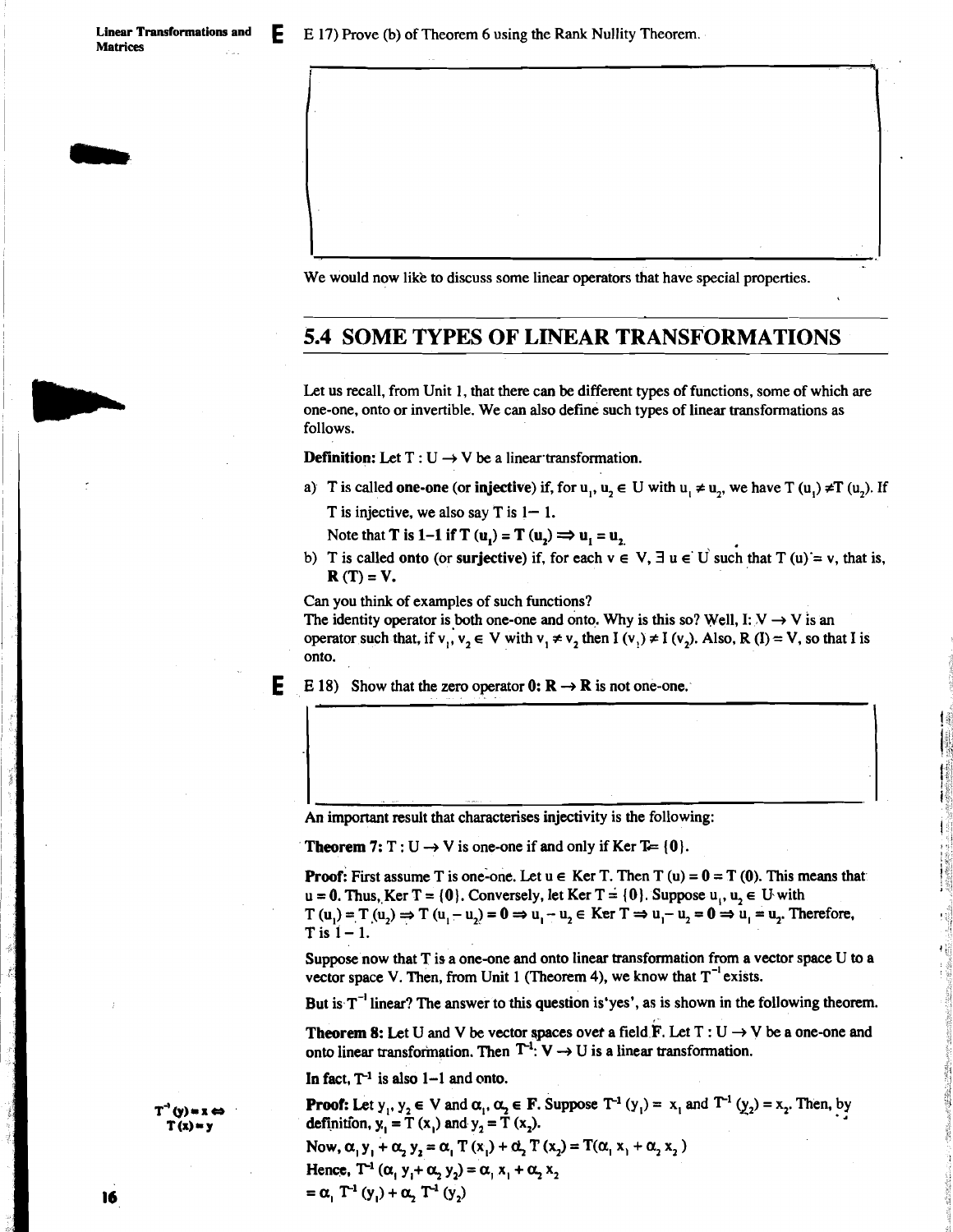We would now like to discuss some linear operators that have special properties.

## **5.4 SOME TYPES OF LINEAR TRANSF'ORMATIONS**

**Y** 

Let us recall, from Unit 1, that there can be different types of functions, some of which are one-one, onto or invertible. We can also define such types of linear transformations as follows.

**Definition:** Let  $T: U \rightarrow V$  be a linear transformation.

a) T is called **one-one** (or **injective**) if, for u<sub>1</sub>, u<sub>2</sub>  $\in$  U with u<sub>1</sub>  $\neq$  u<sub>2</sub>, we have T (u<sub>1</sub>)  $\neq$ T (u<sub>2</sub>). If T is injective, we also say  $T$  is  $1 - 1$ .

Note that **T** is 1-1 if **T**  $(u_1) = T(u_2) \implies u_1 = u_2$ ,

b) T is called **onto** (or surjective) if, for each  $v \in V$ ,  $\exists u \in U$  such that  $T(u) = v$ , that is,  $R(T) = V.$ 

Can you think of examples of such functions?

The identity operator is both one-one and onto. Why is this so? Well, I:  $V \rightarrow V$  is an operator such that, if  $v_1, v_2 \in V$  with  $v_1 \neq v_2$ , then  $I(v_1) \neq I(v_2)$ . Also,  $R(I) = V$ , so that I is onto.

**E** E 18) Show that the zero operator  $0: \mathbb{R} \to \mathbb{R}$  is not one-one.

An important result that characterises injectivity is the following:

**Theorem 7:**  $T: U \rightarrow V$  is one-one if and only if Ker T= {0}.

**Proof:** First assume T is one-one. Let  $u \in \text{Ker T}$ . Then T  $(u) = 0 = T(0)$ . This means that  $u = 0$ . Thus, Ker T = {0}. Conversely, let Ker T = {0}. Suppose  $u_1, u_2 \in U$  with T  $(u_1) = T(u_2) \Rightarrow T(u_1 - u_2) = 0 \Rightarrow u_1 - u_2 \in \text{Ker } T \Rightarrow u_1 - u_2 = 0 \Rightarrow u_1 = u_2.$  Therefore, T is  $1 - 1$ .

Suppose now that T is a one-one and onto linear transformation from a vector space U to a vector space V. Then, from Unit 1 (Theorem 4), we know that  $T^{-1}$  exists.

But is  $T^{-1}$  linear? The answer to this question is'yes', as is shown in the following theorem.

**Theorem 8:** Let U and V be vector spaces over a field  $F$ . Let  $T: U \rightarrow V$  be a one-one and onto linear transformation. Then  $T^{-1}$ : V  $\rightarrow$  U is a linear transformation.

In fact,  $T^{-1}$  is also  $1-1$  and onto.

**Proof:** Let  $y_1, y_2 \in V$  and  $\alpha_1, \alpha_2 \in F$ . Suppose  $T^{-1}(y_1) = x_1$  and  $T^{-1}(y_2) = x_2$ . Then, by definition,  $y_1 = T(x_1)$  and  $y_2 = T(x_2)$ . Now,  $\alpha_1 y_1 + \alpha_2 y_2 = \alpha_1 T(x_1) + \alpha_2 T(x_2) = T(\alpha_1 x_1 + \alpha_2 x_2)$ Hence,  $T^{-1}$   $(\alpha_1 y_1 + \alpha_2 y_2) = \alpha_1 x_1 + \alpha_2 x_2$  $= \alpha$ ,  $T^{-1}(y_1) + \alpha$ ,  $T^{-1}(y_2)$ 

 $T^1(y)$  = x  $\Leftrightarrow$  $T(x) = y$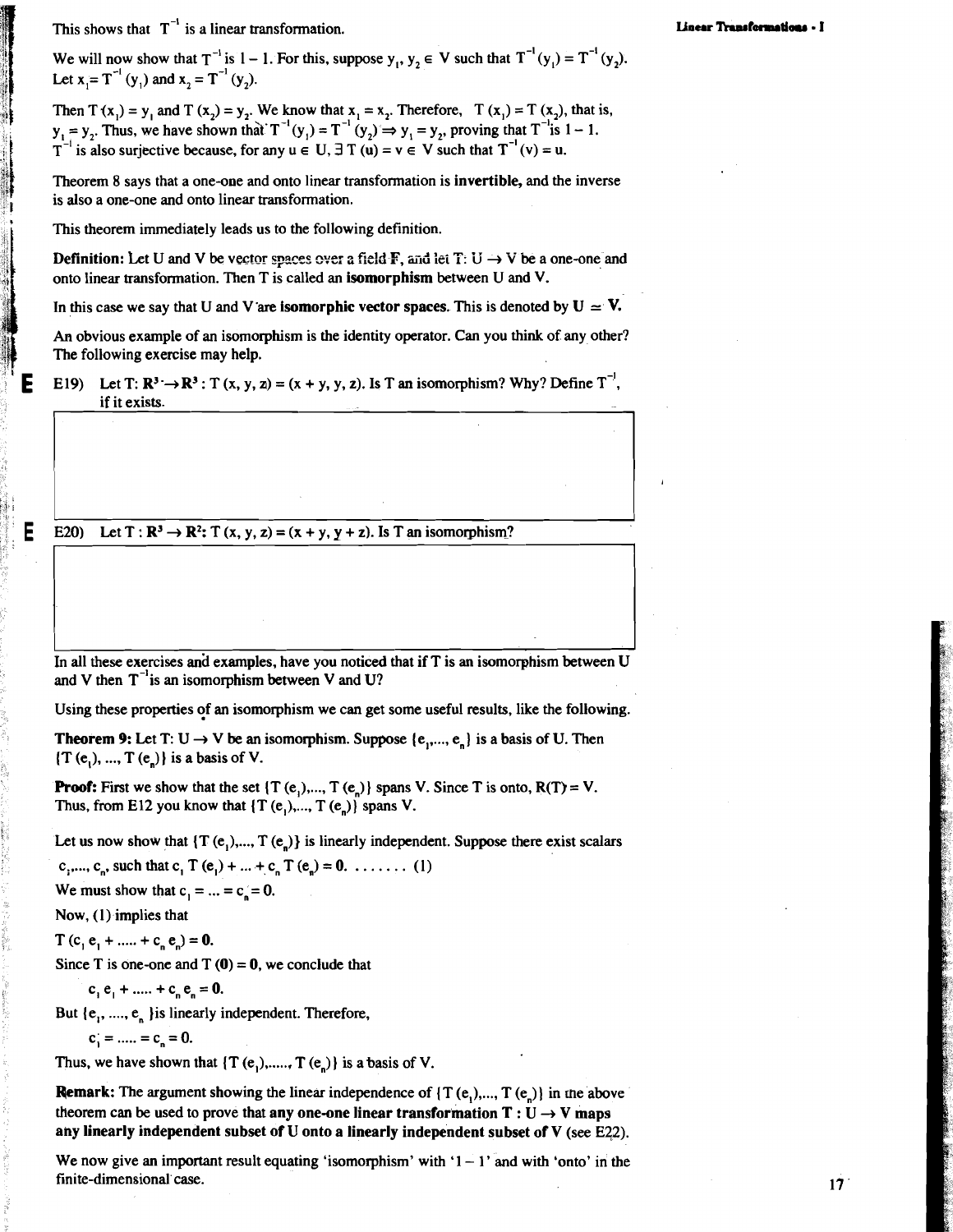This shows that  $T^{-1}$  is a linear transformation.

We will now show that  $T^{-1}$  is  $1 - 1$ . For this, suppose  $y_1, y_2 \in V$  such that  $T^{-1}(y_1) = T^{-1}(y_2)$ . Let  $x = T^{-1}(y_1)$  and  $x_2 = T^{-1}(y_2)$ .

Then  $T(x_i) = y_i$  and  $T(x_j) = y_j$ . We know that  $x_i = x_j$ . Therefore,  $T(x_i) = T(x_j)$ , that is,  $y_1 = y_2$ . Thus, we have shown that  $T^{-1}(y_1) = T^{-1}(y_2) \Rightarrow y_1 = y_2$ , proving that  $T^{-1}$  is  $1 - 1$ . T<sup>-1</sup> is also surjective because, for any  $u \in U$ ,  $\exists T(u) = v \in V$  such that  $T^{-1}(v) = u$ .

Theorem 8 says that a one-one and onto linear transformation is **invertible,** and the inverse is also a one-one and onto linear transformation.

This theorem immediately leads us to the following definition.

**Definition:** Let U and V be vector spaces over a field **F**, and let  $T: U \rightarrow V$  be a one-one and onto linear transformation. Then T is called an **isomorphism** between U and V.

In this case we say that U and V are **isomorphic vector spaces**. This is denoted by  $U \approx V$ .

**An** obvious example of an isomorphism is the identity operator. Can you think of any other? The following exercise may help.

E19) Let  $T: \mathbb{R}^3 \to \mathbb{R}^3$ : T  $(x, y, z) = (x + y, y, z)$ . Is T an isomorphism? Why? Define  $T^{-1}$ , if it exists.

E20) Let  $T : \mathbb{R}^3 \to \mathbb{R}^2$ :  $T (x, y, z) = (x + y, y + z)$ . Is T an isomorphism?

In all these exercises and examples, have you noticed that if T is an isomorphism between U and V then  $T^{-1}$  is an isomorphism between V and U?

Using these properties of an isomorphism we can get some useful results, like the following.

**Theorem 9:** Let T:  $U \rightarrow V$  be an isomorphism. Suppose  $\{e_1, \ldots, e_n\}$  is a basis of U. Then  $(T (e<sub>1</sub>), ..., T (e<sub>n</sub>))$  is a basis of V.

**Proof:** First we show that the set  $\{T(e_1),...,T(e_n)\}$  spans V. Since T is onto,  $R(T) = V$ . Thus, from E12 you know that  $\{T(e_1),...,T(e_n)\}\)$  spans V.

Let us now show that  $\{T(e_1),...,T(e_n)\}\$  is linearly independent. Suppose there exist scalars

c<sub>1</sub>,..., c<sub>n</sub>, such that c<sub>1</sub> T (e<sub>1</sub>) + ... + c<sub>n</sub> T (e<sub>n</sub>) = 0. . . . . . . . (1)

We must show that  $c_1 = ... = c_n = 0$ .

Now, (1) implies that

 $T(c, e_1 + \dots + c_n e_n) = 0.$ 

Since T is one-one and  $T(0) = 0$ , we conclude that

 $c_1 e_1 + \dots + c_n e_n = 0.$ 

But  $\{e_1, \ldots, e_n\}$  is linearly independent. Therefore,

$$
c_1 = \dots = c_n = 0.
$$

Thus, we have shown that  $\{T(e_1),..., T(e_n)\}\)$  is a basis of V.

**Remark:** The argument showing the linear independence of  $\{T(e_1),...,T(e_n)\}\)$  in the above theorem can be used to prove that any one-one linear transformation  $T : U \rightarrow V$  maps any linearly independent subset of U onto a linearly independent subset of V (see E22).

We now give an important result equating 'isomorphism' with  $1 - 1$ ' and with 'onto' in the finite-dimensional'case.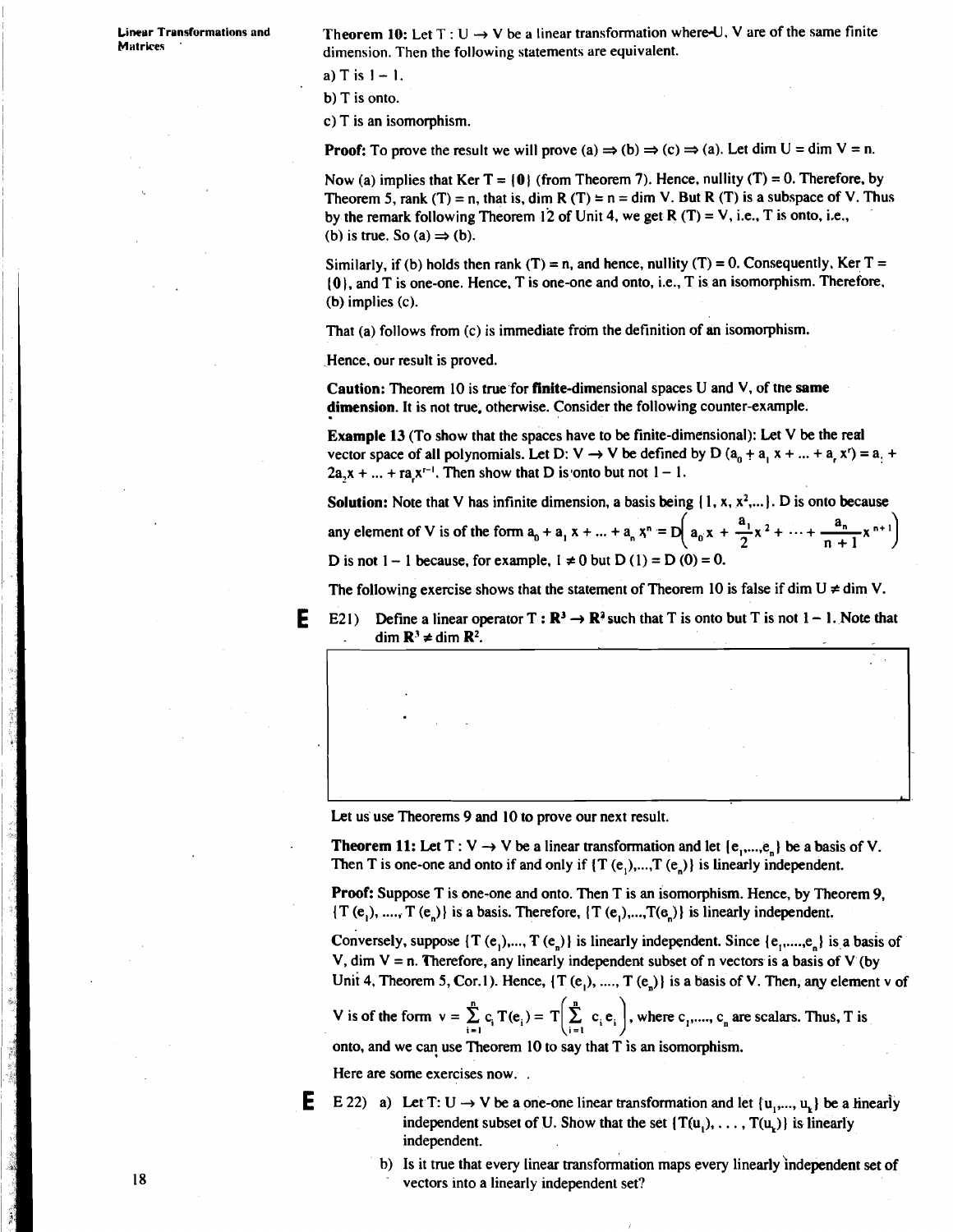**Linear Transformations and Theorem 10:** Let  $T : U \rightarrow V$  be a linear transformation where U, V are of the same finite Matrices dimension. Then the following statements are equivalent.

a)  $T$  is  $1 - 1$ .

b) T is onto.

C) T is an isomorphism.

**Proof:** To prove the result we will prove (a)  $\Rightarrow$  (b)  $\Rightarrow$  (c)  $\Rightarrow$  (a). Let dim U = dim V = n.

Now (a) implies that Ker  $T = \{0\}$  (from Theorem 7). Hence, nullity (T) = 0. Therefore, by Theorem 5, rank (T) = n, that is, dim R (T) = n = dim V. But R (T) is a subspace of V. Thus by the remark following Theorem 12 of Unit 4, we get R  $(T) = V$ , i.e., T is onto, i.e., (b) is true. So  $(a) \Rightarrow (b)$ .

Similarly, if (b) holds then rank (T) = n, and hence, nullity (T) = 0. Consequently, Ker T = **(0).** and T is one-one. Hence, T is one-one and onto, i.e., T is an isomorphism. Therefore. (b) implies (c).

That (a) follows from (c) is immediate from the definition of an isomorphism.

Hence. our result is proved.

Caution: Theorem 10 is true for finite-dimensional spaces U and V, of the same dimension. It is not true. otherwise. Consider the following counter-example.

Example 13 (To show that the spaces have to be finite-dimensional): Let V be the real vector space of all polynomials. Let D:  $V \rightarrow V$  be defined by D  $(a_0 + a_1 x + ... + a_n x^r) = a_1 + a_2 x^r$  $2a_1x + ... + ra_1x^{r-1}$ . Then show that D is onto but not  $1 - 1$ .

Solution: Note that V has infinite dimension, a basis being {1, x, x<sup>2</sup>,...}. D is onto because

any element of V is of the form  $a_0 + a_1 x + ... + a_n x^n = D\left(a_0 x + \frac{a_1}{2} x^2 + ... + \frac{a_n}{n+1} x^{n+1}\right)$ D is not  $1 - 1$  because, for example,  $1 \neq 0$  but  $D(1) = D(0) = 0$ .

The following exercise shows that the statement of Theorem 10 is false if dim  $U \neq$  dim V.

**E** E21) Define a linear operator  $T : \mathbb{R}^3 \to \mathbb{R}^3$  such that T is onto but T is not  $1 - 1$ . Note that dim  $\mathbf{R}^3 \neq \text{dim } \mathbf{R}^2$ .

Let us use Theorems 9 and 10 to prove our next result.

**Theorem 11:** Let T :  $V \rightarrow V$  be a linear transformation and let {e,,...,e} be a basis of V. Then T is one-one and onto if and only if  $\{T(e_1),...,T(e_n)\}\$  is linearly independent.

Proof: Suppose T is one-one and onto. Then T is an isomorphism. Hence, by Theorem 9,  $\{T(e_1), ..., T(e_n)\}\$  is a basis. Therefore,  $\{T(e_1), ..., T(e_n)\}\$  is linearly independent.

Conversely, suppose  $\{T (e_1),..., T (e_n)\}\$ is linearly independent. Since  $\{e_1,...,e_n\}\$ is a basis of V, dim  $V = n$ . Therefore, any linearly independent subset of n vectors is a basis of V (by Unit 4, Theorem 5, Cor.1). Hence,  $\{T(e_1), ..., T(e_n)\}$  is a basis of V. Then, any element v of

V is of the form  $v = \sum_{i=1}^{n} c_i T(e_i) = T\left(\sum_{i=1}^{n} c_i e_i\right)$ , where  $c_1$ ,....,  $c_n$  are scalars. Thus, T is

onto, and we can use Theorem 10 to say that  $T$  is an isomorphism.

Here are some exercises now. .

- **E** E 22) a) Let T: U  $\rightarrow$  V be a one-one linear transformation and let  $\{u_1,..., u_k\}$  be a linearly independent subset of U. Show that the set  $\{T(u_1), \ldots, T(u_n)\}\)$  is linearly independent.
	- b) Is it true that every linear transformation maps every linearly independent set of vectors into a linearly independent set?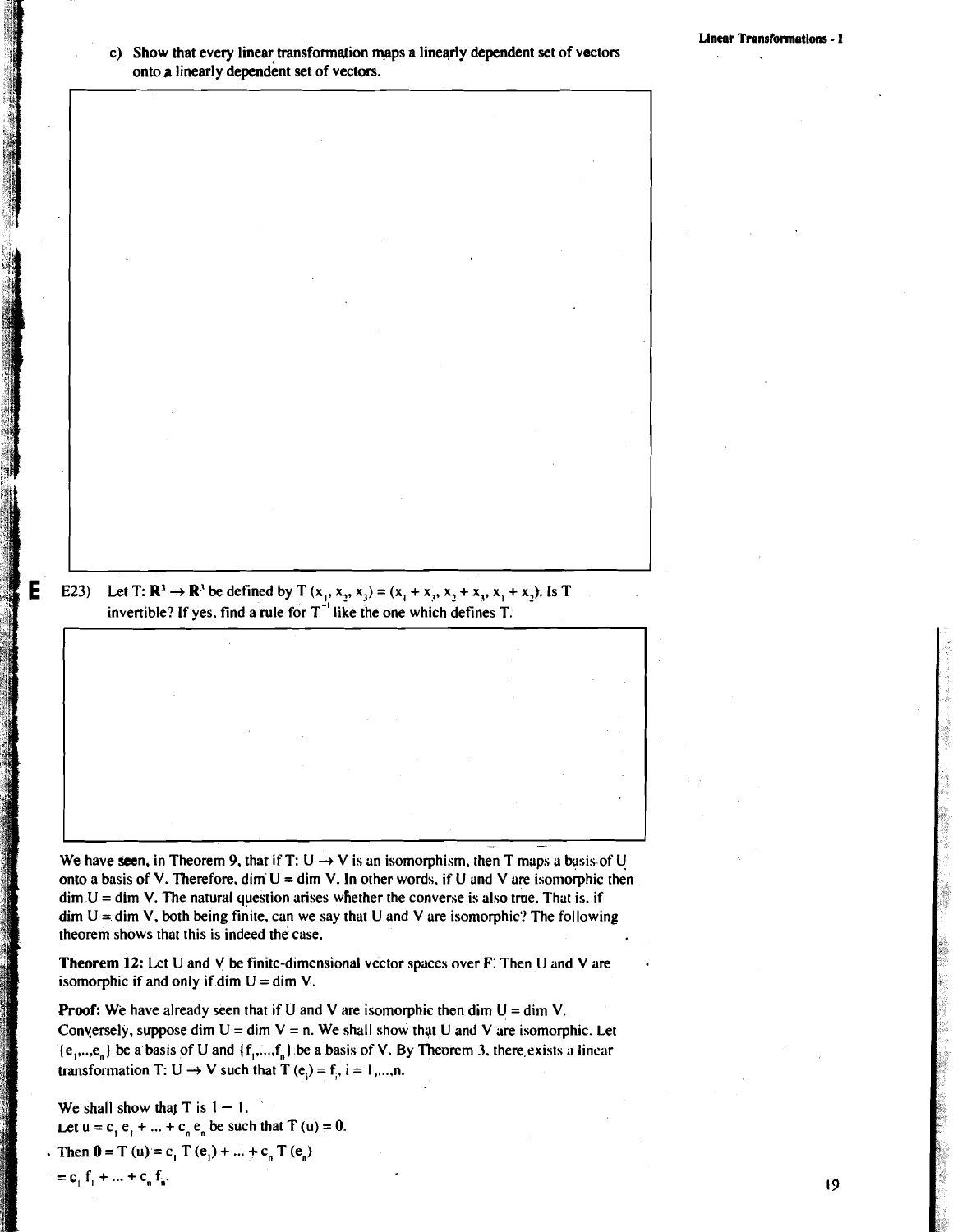#### c) Show that every linear transformation **m.aps** a linearly dependent set of vectors onto a linearly dependent set of vectors.

**E23**) Let T:  $\mathbb{R}^3 \to \mathbb{R}^3$  be defined by T  $(x_1, x_2, x_3) = (x_1 + x_2, x_2 + x_3, x_1 + x_2)$ . Is T invertible? If yes, find a rule for  $T^{-1}$  like the one which defines T.

We have seen, in Theorem 9, that if T:  $U \rightarrow V$  is an isomorphism, then T maps a basis of U onto a basis of V. Therefore, dim  $U = \dim V$ . In other words, if U and V are isomorphic then  $\dim U = \dim V$ . The natural question arises whether the converse is also true. That is, if  $\dim U = \dim V$ , both being finite, can we say that U and V are isomorphic? The following theorem shows that this is indeed the case.

**Theorem 12:** Let **U** and **J** be finite-dimensional vector spices over **F:** Then U and V are isomorphic if and only if dim  $U = \dim V$ .

**Proof:** We have already seen that if U and V are isomorphic then dim  $U = \dim V$ . Conversely, suppose dim  $U = \dim V = n$ . We shall show that U and V are isomorphic. Let  ${e_1, \ldots, e_n}$  be a basis of U and  ${f_1, \ldots, f_n}$  be a basis of V. By Theorem 3, there exists a linear transformation T:  $U \rightarrow V$  such that T (e,) = f, i = 1,...,n.

We shall show that  $T$  is  $1 - 1$ . Let  $u = c_1 e_1 + ... + c_n e_n$  be such that **T**  $(u) = 0$ . Then  $0 = T(u) = c_1 T(e_1) + ... + c_n T(e_n)$  $= c_1 f_1 + ... + c_n f_n.$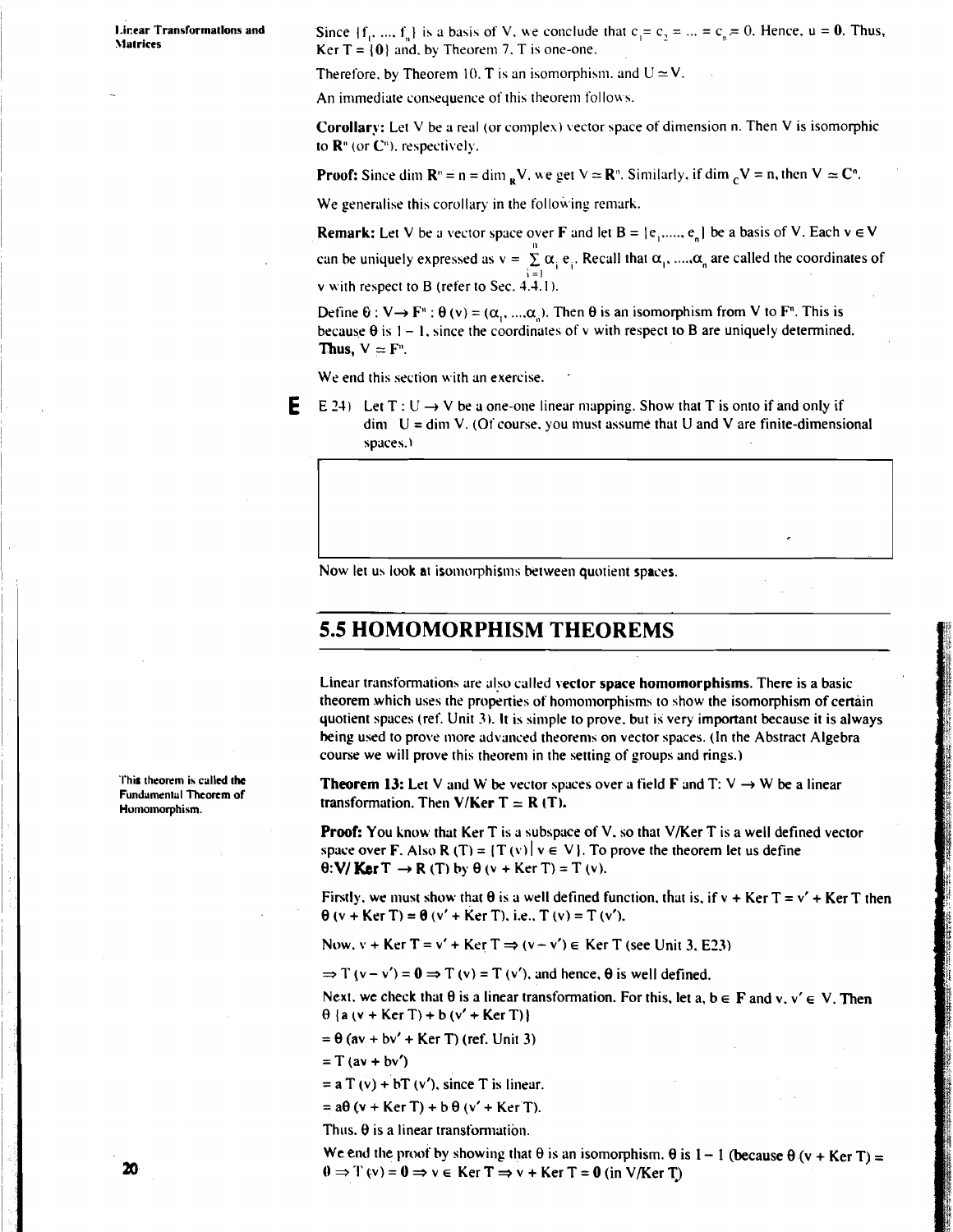**I.inear Transformations and** Since  $\{f_1, ..., f_n\}$  is a basis of V, we conclude that  $c_1 = c_2 = ... = c_n = 0$ . Hence,  $u = 0$ . Thus, **Ker T =**  $\{0\}$  **and. by Theorem 7. T is one-one.** 

Therefore, by Theorem 10, T is an isomorphism, and  $U \approx V$ .

An immediate consequence of this theorem follows.

Corollary: Let **V** be a real (or complex) vector space of dimension n. Then V is isomorphic to  $\mathbb{R}^n$  (or  $\mathbb{C}^n$ ), respectively.

**Proof:** Since dim  $\mathbf{R}^n = \mathbf{n} = \dim_{\mathbf{R}} V$ , we get  $V \approx \mathbf{R}^n$ . Similarly, if dim  ${}_cV = \mathbf{n}$ , then  $V \approx \mathbf{C}^n$ .

We generalise this corollary in the following remark.

**Remark:** Let V be a vector space over F and let  $B = \{e_1, \ldots, e_n\}$  be a basis of V. Each  $v \in V$ can be uniquely expressed as  $v = \sum_{i=1}^{n} \alpha_i e_i$ . Recall that  $\alpha_1$ , ....,  $\alpha_n$  are called the coordinates of **v** with respect to B (refer to Sec.  $4.\overline{4}.1$ ).

Define  $\theta$  :  $V \rightarrow F^{n}$  :  $\theta$  (v) = ( $\alpha_1$ , ..., $\alpha_n$ ). Then  $\theta$  is an isomorphism from V to F<sup>n</sup>. This is because  $\theta$  is  $1 - 1$ , since the coordinates of v with respect to B are uniquely determined. Thus,  $V \approx F^n$ .

We end this section with an exercise.

**E** E 24) Let  $T: U \rightarrow V$  be a one-one linear mapping. Show that T is onto if and only if  $\dim$  U = dim V. (Of course, you must assume that U and V are finite-dimensional spaces.)

Now let us look at isomorphisms between quotient spaces.

## **5.5 HOMOMORPHISM THEOREMS**

Linear transformations are also called vector space homomorphisms. There is a basic theorem which uses the properties of homomorphisms to show the isomorphism of certain quotient spaces (ref. Unit **2).** It is simple to prove. but is very important because it is always being used to prove more advanced theorems on vector spaces. (In the Abstract Algebra course we will prove this theorem in the setting of groups and rings.)

**Theorem 13:** Let V and W be vector spaces over a field **F** and T:  $V \rightarrow W$  be a linear transformation. Then V/Ker  $T = R(T)$ .

**Proof:** You know that Ker T is a subspace of V, so that V/Ker T is a well defined vector space over **F**. Also **R** (T) = {T(v)  $|v \in V$ }. To prove the theorem let us define  $\theta$ : **V/ Ker** T  $\rightarrow$  R (T) by  $\theta$  (v + Ker T) = T (v).

Firstly, we must show that  $\theta$  is a well defined function, that is, if  $v + \text{Ker T} = v' + \text{Ker T}$  then  $\theta$  (v + Ker T) =  $\theta$  (v' + Ker T), i.e., T (v) = T (v').

Now.  $v + \text{Ker } T = v' + \text{Ker } T \Rightarrow (v - v') \in \text{Ker } T \text{ (see Unit 3, E23)}$ 

 $\Rightarrow$  T (v - v') =  $\mathbf{0} \Rightarrow$  T (v) = T (v'), and hence,  $\theta$  is well defined.

Next. we check that  $\theta$  is a linear transformation. For this, let a,  $b \in F$  and v,  $v' \in V$ . Then  $\theta$  {a(v + Ker T) + b(v' + Ker T)}

 $= \theta$  (av + bv' + Ker T) (ref. Unit 3)

 $= T (av + bv')$ 

 $=$  a T (v) + bT (v'), since T is linear.

 $= a\theta (v + Ker T) + b\theta (v' + Ker T).$ 

Thus. **8** is a linear transfomiation.

**We end the proof by showing that**  $\theta$  **is an isomorphism.**  $\theta$  **is**  $1 - 1$  **(because**  $\theta$  **(v + Ker T) =**  $0 \Rightarrow$  **T (v) =**  $\theta \Rightarrow$  **v**  $\in$  **Ker T**  $\Rightarrow$  **v + Ker T =**  $\theta$  **(in V/Ker T)** 

**'I'his theorem ir called the Fundamental Theorem of Honiomorphism.**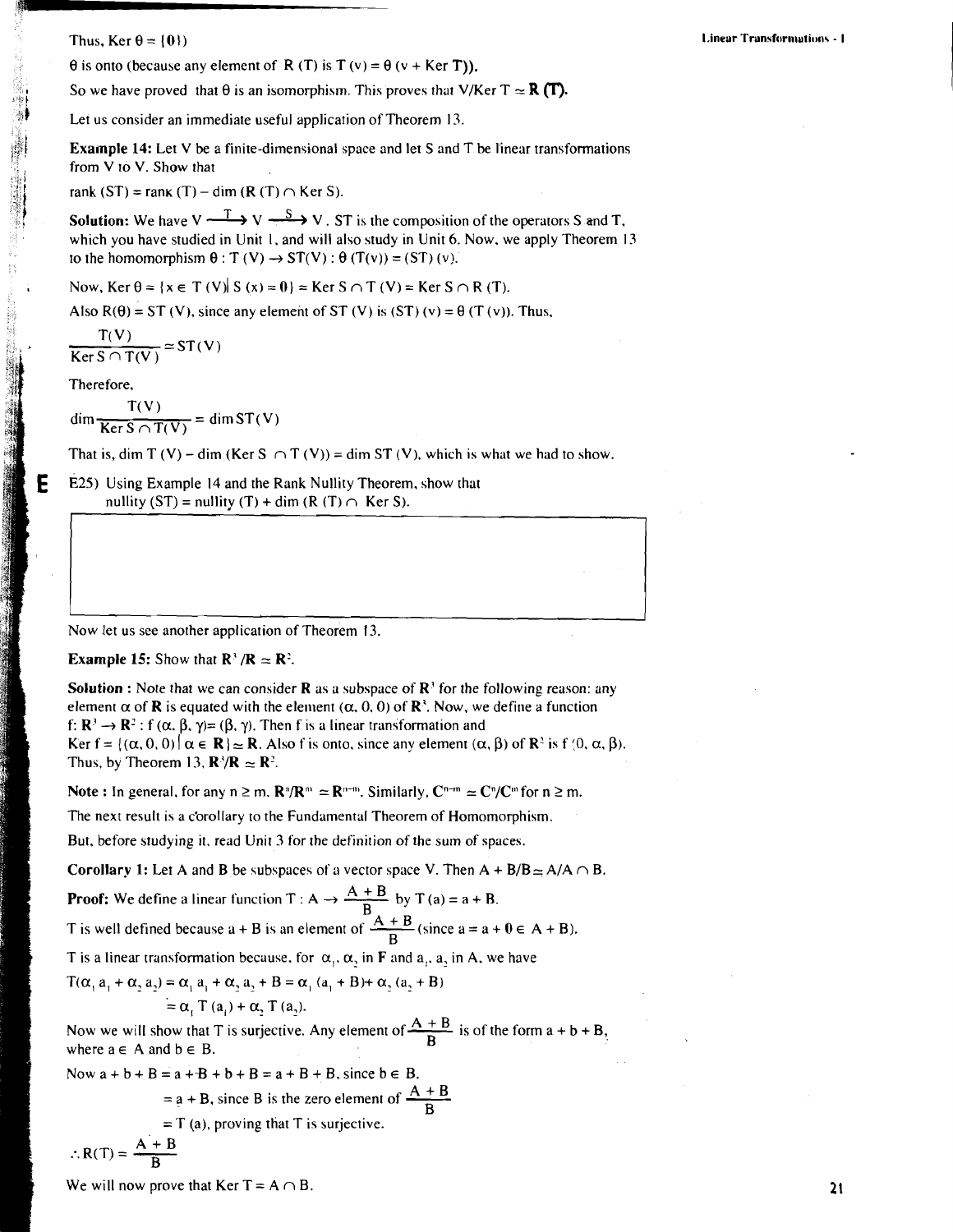Thus, Ker  $\theta = \{0\}$ 

 $\theta$  is onto (because any element of R (T) is T (v) =  $\theta$  (v + Ker T)).

So we have proved that  $\theta$  is an isomorphism. This proves that V/Ker  $T \approx \mathbf{R}(\mathbf{T})$ .

Let us consider an immediate useful application of Theorem 13.

Example 14: Let V be a finite-dimensional space and let S and T be linear transformations from V to V. Show that

rank (ST) = rank (T) – dim (R (T)  $\cap$  Ker S).

**Solution:** We have  $V \xrightarrow{T} V \xrightarrow{S} V$ . ST is the composition of the operators S and T, which you have studied in Unit 1, and will also study in Unit 6. Now, we apply Theorem 13 to the homomorphism  $\theta$ : T (V)  $\rightarrow$  ST(V):  $\theta$  (T(v)) = (ST) (v).

Now, Ker  $\theta = \{x \in T(V) | S(x) = 0\}$  = Ker  $S \cap T(V)$  = Ker  $S \cap R(T)$ .

Also  $R(\theta) = ST(V)$ , since any element of ST (V) is (ST) (v) =  $\theta(T(v))$ . Thus.

$$
\frac{T(V)}{\text{Ker }S \cap T(V)} \simeq ST(V)
$$

Therefore,

E

 $\dim \frac{T(V)}{\text{Ker } S \cap T(V)} = \dim ST(V)$ 

That is, dim T (V) – dim (Ker S  $\cap$  T (V)) = dim ST (V), which is what we had to show.

E25) Using Example 14 and the Rank Nullity Theorem, show that nullity (ST) = nullity (T) + dim (R (T)  $\cap$  Ker S).

Now let us see another application of Theorem 13.

#### **Example 15:** Show that  $\mathbb{R}^3/\mathbb{R} \simeq \mathbb{R}^2$ .

**Solution :** Note that we can consider **R** as a subspace of  $\mathbb{R}^3$  for the following reason: any element  $\alpha$  of **R** is equated with the element ( $\alpha$ , 0, 0) of **R**<sup>3</sup>. Now, we define a function f:  $\mathbb{R}^3 \to \mathbb{R}^2$ : f  $(\alpha, \beta, \gamma) = (\beta, \gamma)$ . Then f is a linear transformation and Ker  $f = \{(\alpha, 0, 0) | \alpha \in \mathbb{R} \} \approx \mathbb{R}$ . Also f is onto, since any element  $(\alpha, \beta)$  of  $\mathbb{R}^2$  is f  $(0, \alpha, \beta)$ . Thus, by Theorem 13,  $\mathbf{R}^3/\mathbf{R} \simeq \mathbf{R}^2$ .

Note : In general, for any  $n \ge m$ .  $\mathbb{R}^n/\mathbb{R}^m \simeq \mathbb{R}^{n-m}$ . Similarly,  $C^{n-m} \simeq C^n/C^m$  for  $n \ge m$ .

The next result is a corollary to the Fundamental Theorem of Homomorphism.

But, before studying it, read Unit 3 for the definition of the sum of spaces.

**Corollary 1:** Let A and B be subspaces of a vector space V. Then  $A + B/B \simeq A/A \cap B$ .

**Proof:** We define a linear function T : A  $\rightarrow \frac{A+B}{B}$  by T (a) = a + B. T is well defined because  $a + B$  is an element of  $\frac{A + B}{B}$  (since  $a = a + 0 \in A + B$ ).

T is a linear transformation because, for  $\alpha_1$ ,  $\alpha_2$  in F and  $a_1$ ,  $a_2$  in A, we have

$$
T(α1 a1 + α2 a2) = α1 a1 + α2 a2 + B = α1 (a1 + B) + α2 (a2 + B)= α1 T (a1) + α2 T (a2).
$$

Now we will show that T is surjective. Any element of  $\frac{A + B}{D}$  is of the form a + b + B, where  $a \in A$  and  $b \in B$ . =  $\alpha_1$  a<sub>1</sub> +  $\alpha_2$  a<sub>2</sub> + B =  $\alpha_1$  (a<sub>1</sub> + B) +  $\alpha_2$  (a<sub>2</sub> + B)<br>
=  $\alpha_1$  T (a<sub>1</sub>) +  $\alpha_2$  T (a<sub>2</sub>).<br>
ow that T is surjective. Any element of  $\frac{A+B}{B}$  is of the<br>
d b  $\in$  B.<br>
= a + B + b + B = a + B + B, since

Now  $a+b+B=a+B+b+B=a+B+B$ , since  $b\in B$ .

= 
$$
a + B
$$
, since B is the zero element of  $\frac{A + B}{B}$ 

$$
=
$$
 T (a), proving that T is surjective.

$$
\therefore R(T) = \frac{A + B}{B}
$$

We will now prove that Ker  $T = A \cap B$ .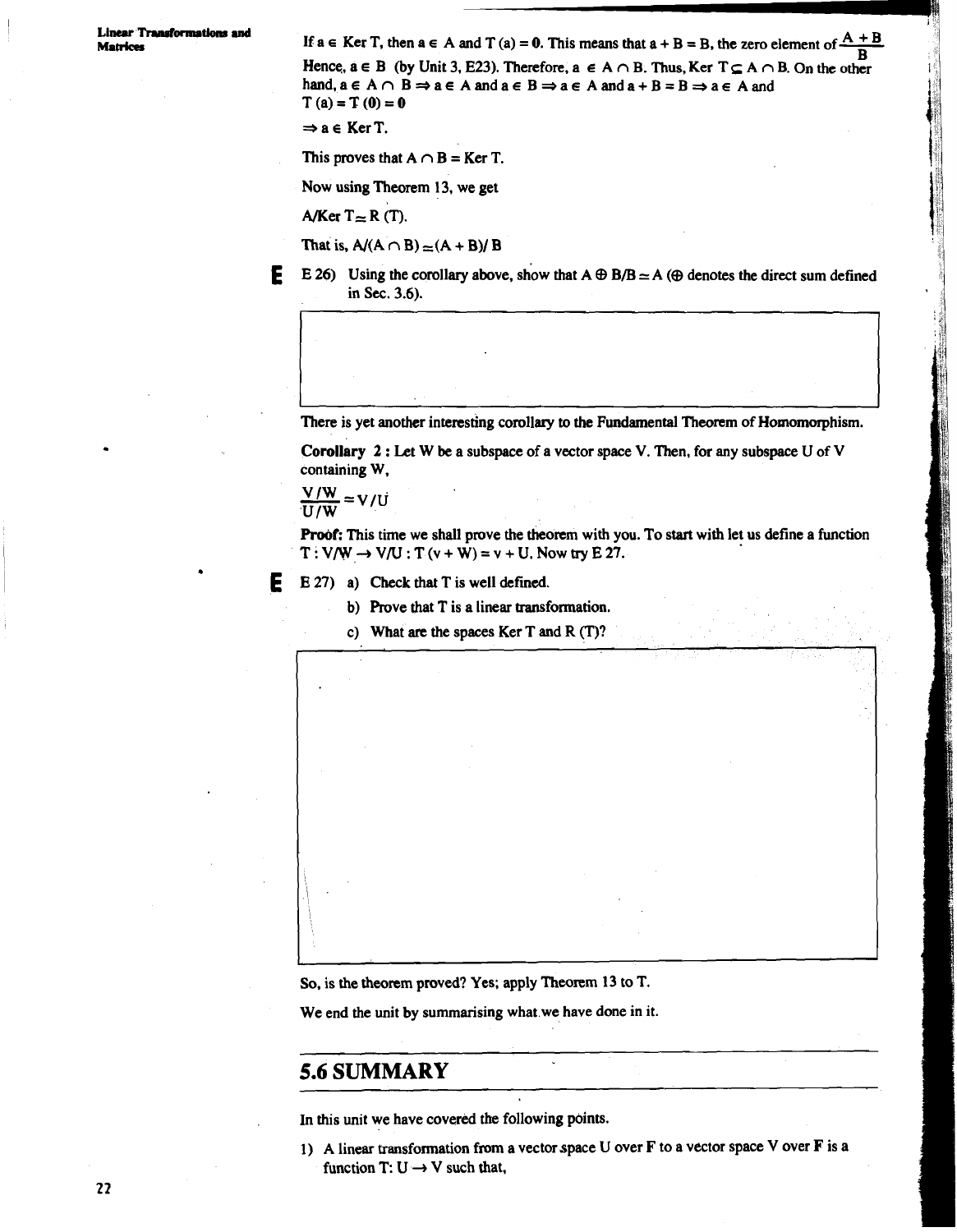**Linear Transformations and**<br>Matrices If  $a \in \text{Ker } T$ , then  $a \in A$  and  $T(a) = 0$ . This means that  $a + B = B$ , the zero element of  $\frac{A + B}{D}$ **Matrices** If  $a \in \text{Ker } T$ , then  $a \in A$  and  $T(a) = 0$ . This means that  $a + B = B$ , the zero element of  $\frac{A + B}{B}$ <br>Hence,  $a \in B$  (by Unit 3, E23). Therefore,  $a \in A \cap B$ . Thus,  $\text{Ker } T \subseteq A \cap B$ . On the other Hence,  $a \in B$  (by Unit 3, E23). Therefore,  $a \in A \cap B$ . Thus, Ker  $T \subseteq A \cap B$ . On the other hand,  $a \in A \cap B \Rightarrow a \in A$  and  $a \in B \Rightarrow a \in A$  and  $a + B = B \Rightarrow a \in A$  and  $T(a) = T(0) = 0$ 

 $\Rightarrow$  a  $\in$  **Ker T.** 

This proves that  $A \cap B = Ker T$ .

Now using Theorem 13, we get

A/Ker  $T \approx R(T)$ .

That is,  $A/(A \cap B) \approx (A + B)/B$ 

**E** E 26) Using the corollary above, show that  $A \oplus B/B \simeq A \oplus A$  ( $\oplus$  denotes the direct sum defined in Sec. 3.6).

There is yet another interesting corollary **to** the Fundamental Theorem of Homomorphism.

**Corollary** <sup>2</sup>: Let W be a subspace of a vector space V. Then, for any subspace U of V containing W,

$$
\frac{V/W}{U/W} = V/U
$$

Proof: This time we shall prove the theorem with you. To start with let us define a function  $T: V/W \rightarrow V/U: T(v+W) = v+U$ . Now try E 27.

**E E** 27) a) Check that **T** is well **defined.** 

- b) Prove that  $T$  is a linear transformation.
- c) What are the spaces Ker T and R (T)?

**So,** is the theorem proved? Yes; apply Theorem 13 to T.

We end the unit by summarising what.we have done in it.

## **5.6 SUMMARY**

\

In this unit we have covered the following points.

1) A linear transformation from a vector space U over F to a vector space V over **F** is a function T:  $U \rightarrow V$  such that,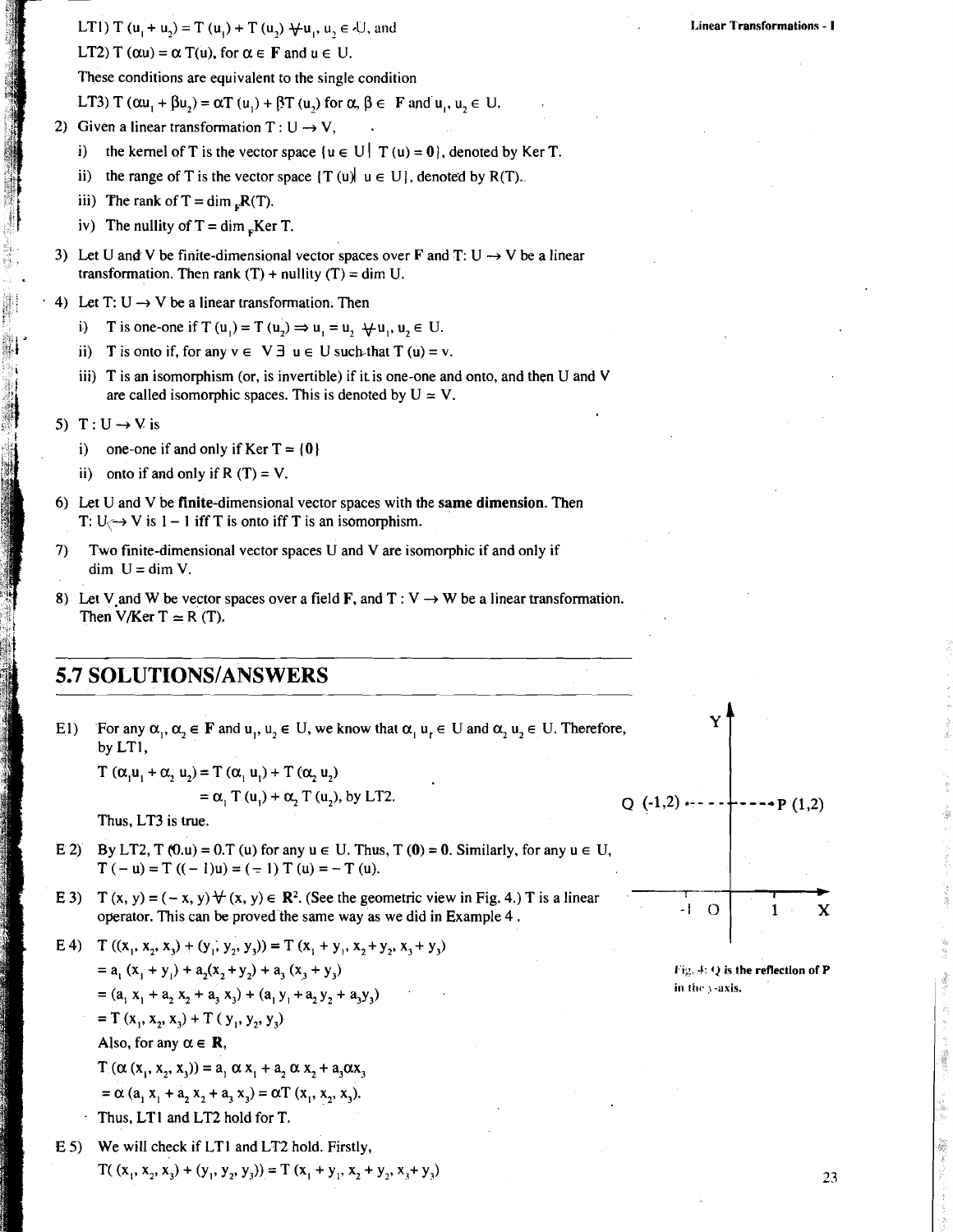**LT1)**  $T(u_1 + u_2) = T(u_1) + T(u_2) + u_1, u_2 \in U$ , and

LT2)  $T(\alpha u) = \alpha T(u)$ , for  $\alpha \in F$  and  $u \in U$ .

These conditions are equivalent to the single condition

**LT3)**  $T(\alpha u_1 + \beta u_2) = \alpha T(u_1) + \beta T(u_2)$  for  $\alpha, \beta \in F$  and  $u_1, u_2 \in U$ .

- 2) Given a linear transformation  $T: U \rightarrow V$ ,
	- i) the kernel of T is the vector space  $\{u \in U | T(u) = 0\}$ , denoted by Ker T.
	- ii) the range of T is the vector space  $\{T(u) \mid u \in U\}$ , denoted by R(T).
	- iii) The rank of  $T = \dim_{F} R(T)$ .
	- iv) The nullity of  $T = \dim_{\mathbb{R}} \text{Ker } T$ .
- 3) Let U and V be finite-dimensional vector spaces over **F** and T: U  $\rightarrow$  V be a linear transformation. Then rank  $(T)$  + nullity  $(T)$  = dim U.
- $\cdot$  4) Let T: U  $\rightarrow$  V be a linear transformation. Then
	- T is one-one if T  $(u_1) = T(u_2) \Rightarrow u_1 = u_2 \quad \forall u_1, u_2 \in U$ .
	- ii) T is onto if, for any  $y \in V \exists u \in U$  such that  $T(u) = v$ .
	- iii) T is an isomorphism (or, is invertible) if it is one-one and onto, and then U and V are called isomorphic spaces. This is denoted by  $U \approx V$ .
	- 5) T:  $U \rightarrow V$  is
		- i) one-one if and only if Ker  $T = \{0\}$
		- ii) onto if and only if R  $(T) = V$ .
	- 6) Let U and V be finite-dimensional vector spaces with the same dimension. Then T:  $U \leftrightarrow V$  is  $1 - 1$  iff T is onto iff T is an isomorphism.
	- 7) Two finite-dimensional vector spaces U and V are isomorphic if and only if  $dim$  U =  $dim$  V.
	- 8) Let V and W be vector spaces over a field **F**, and T : V  $\rightarrow$  W be a linear transformation. Then V/Ker T  $\simeq$  R (T).

## **5.7 SOLUTIONS/ANSWERS**

El) For any  $\alpha_1, \alpha_2 \in \mathbf{F}$  and  $\alpha_1, \alpha_2 \in \mathbf{U}$ , we know that  $\alpha_1, \alpha_2 \in \mathbf{U}$  and  $\alpha_2, \alpha_2 \in \mathbf{U}$ . Therefore, by LTI,

 $T(\alpha, u_1 + \alpha, u_2) = T(\alpha, u_1) + T(\alpha, u_2)$ 

 $=\alpha$ , T (u<sub>1</sub>) +  $\alpha$ , T (u<sub>2</sub>), by LT2.

Thus, LT3 is true.

- E 2) By LT2,  $T(0, u) = 0. T(u)$  for any  $u \in U$ . Thus,  $T(0) = 0$ . Similarly, for any  $u \in U$ ,  $T(-u) = T((- 1)u) = (-1)T(u) = -T(u).$
- E 3)  $T (x, y) = (-x, y) \forall (x, y) \in \mathbb{R}^2$ . (See the geometric view in Fig. 4.) T is a linear operator. This can be proved the same way as we did in Example 4 .
- E 4) T  $((x_1, x_2, x_1) + (y_1, y_2, y_3)) = T (x_1 + y_1, x_2 + y_2, x_3 + y_3)$  $= a_1 (x_1 + y_1) + a_2(x_2 + y_2) + a_3 (x_3 + y_3)$  $= (a_1 x_1 + a_2 x_2 + a_3 x_3) + (a_1 y_1 + a_2 y_2 + a_3 y_3)$ = T (x<sub>1</sub>, x<sub>2</sub>, x<sub>3</sub>) + T (y<sub>1</sub>, y<sub>2</sub>, y<sub>3</sub>) Also, for any  $\alpha \in \mathbb{R}$ ,  $T(\alpha (x_1, x_2, x_3)) = a_1 \alpha x_1 + a_2 \alpha x_2 + a_3 \alpha x_3$  $= \alpha$  (a, x<sub>1</sub> + a, x<sub>2</sub> + a<sub>3</sub> x<sub>3</sub>) =  $\alpha$ T (x<sub>1</sub>, x<sub>2</sub>, x<sub>3</sub>).

Thus, LTl and LT2 hold for T.

**E** 5) We will check if LTl and LT2 hold. Firstly,  $T(x_1, x_2, x_3) + (y_1, y_2, y_3) = T(x_1 + y_1, x_2 + y_2, x_3 + y_3)$   $O(.1,2) \rightarrow - - +$  $--P(1,2)$ 

> $-1$  $\Omega$  $\mathbf{1}$  $\mathbf x$

> > **I tg. J. (1 is the retlectlon of P in** the *y*-axis.

**Linear Transformations** - **I**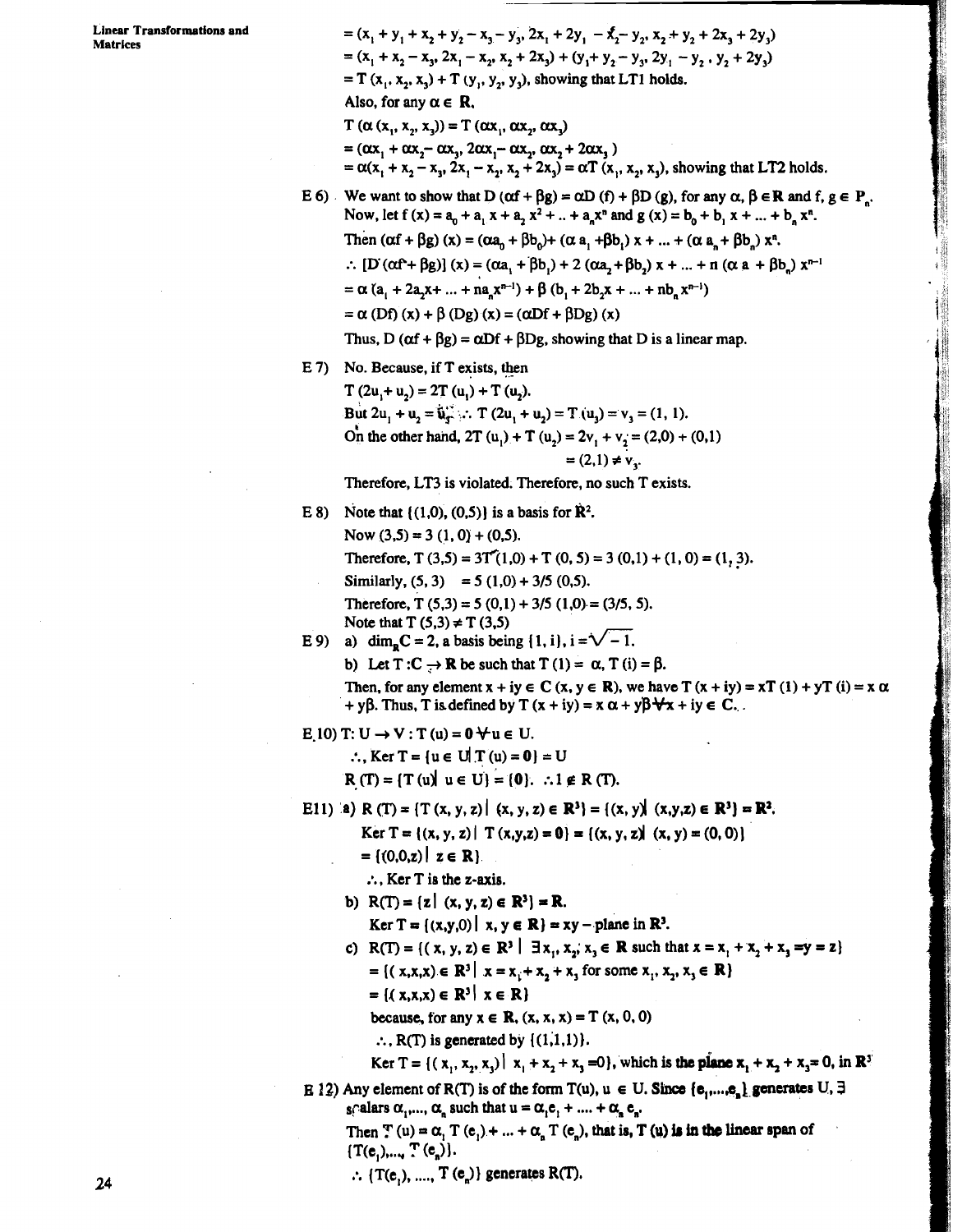=  $(x_1 + y_1 + x_2 + y_2 - x_3 - y_3, 2x_1 + 2y_1 - x_2 - y_2, x_2 + y_2 + 2x_3 + 2y_3)$  $= (x_1 + x_2 - x_3, 2x_1 - x_2, x_2 + 2x_3) + (y_1 + y_2 - y_3, 2y_1 - y_2, y_2 + 2y_3)$  $= T(x_1, x_2, x_3) + T(y_1, y_2, y_3)$ , showing that LT1 holds. Also, for any  $\alpha \in \mathbb{R}$ .  $T(\alpha(x_1, x_2, x_3)) = T(\alpha x_1, \alpha x_2, \alpha x_3)$  $=(\alpha x_1 + \alpha x_2 - \alpha x_3, 2\alpha x_1 - \alpha x_2, \alpha x_2 + 2\alpha x_3)$  $=\alpha(x_1 + x_2 - x_3, 2x_1 - x_2, x_2 + 2x_3) = \alpha T(x_1, x_2, x_3)$ , showing that **LT2** holds.

- E 6) We want to show that D  $(\alpha f + \beta g) = \alpha D(f) + \beta D(g)$ , for any  $\alpha, \beta \in \mathbb{R}$  and f,  $g \in P$ . Now, let  $f(x) = a_0 + a_1 x + a_2 x^2 + ... + a_n x^n$  and  $g(x) = b_0 + b_1 x + ... + b_n x^n$ . Then  $(\alpha f + \beta g)(x) = (\alpha a_n + \beta b_n) + (\alpha a_n + \beta b_n) x + ... + (\alpha a_n + \beta b_n) x^n$ .  $\therefore$  **[D** (αf<sup>2</sup>+ βg)] (x) = (αa<sub>1</sub> + βb<sub>1</sub>) + 2 (αa<sub>2</sub> + βb<sub>2</sub>) x + ... + **n** (α **a** + βb<sub>n</sub>) x<sup>n-1</sup>  $= \alpha (a_1 + 2a_2x + ... + na_nx^{n-1}) + \beta (b_1 + 2b_2x + ... + nb_nx^{n-1})$  $= \alpha$  (Df) (x) +  $\beta$  (Dg) (x) = ( $\alpha$ Df +  $\beta$ Dg) (x) Thus, D ( $\alpha f + \beta g$ ) =  $\alpha Df + \beta Dg$ , showing that D is a linear map.
- $E$  7) No. Because, if T exists, then
	- $T (2u + u<sub>2</sub>) = 2T (u<sub>1</sub>) + T (u<sub>2</sub>).$ But  $2u_1 + u_2 = \mathbf{u}_1$ . **T**  $(2u_1 + u_2) = \mathbf{T} \cdot (u_1) = v_1 = (1, 1)$ . On the other hand,  $2T(u_1) + T(u_2) = 2v_1 + v_2 = (2,0) + (0,1)$  $= (2,1) \neq v_3$ .

Therefore, LT3 is violated. Therefore, no such T exists.

E 8) Note that  $((1,0), (0,5))$  is a basis for  $\mathbb{R}^2$ .

Now  $(3,5) = 3(1,0) + (0,5)$ . Therefore,  $T (3,5) = 3T(1,0) + T (0, 5) = 3 (0,1) + (1,0) = (1,3).$ Similarly,  $(5, 3) = 5(1,0) + 3/5(0,5)$ . Therefore, T  $(5,3) = 5(0,1) + 3/5(1,0) = (3/5, 5)$ . Note that  $T(5,3) \neq T(3,5)$ E 9) a) dim<sub>R</sub>C = 2, a basis being  $\{1, i\}$ ,  $i = \sqrt{-1}$ .

b) Let  $T: C \to \mathbb{R}$  be such that  $T(1) = \alpha$ ,  $T(i) = \beta$ .

Then, for any element  $x + iy \in C$  ( $x, y \in R$ ), we have  $T (x + iy) = xT (1) + yT (i) = x \alpha$  $+ y\beta$ . Thus, T is defined by T  $(x + iy) = x \alpha + y\beta \forall x + iy \in C$ .

- E 10) T: U  $\rightarrow$  V : T (u) = 0  $\forall$  u  $\in$  U.
	- $\therefore$ , Ker T = {u  $\in$  U| T (u) = 0} = U  $R(T) = {T(u) \cup u \in U} = {0}.$  .  $.1 \notin R(T).$
- E11) **'a)** R (T) =  $\{T(x, y, z) | (x, y, z) \in \mathbb{R}^3\} = \{(x, y) | (x, y, z) \in \mathbb{R}^3\} = \mathbb{R}^3$ .
	- Ker  $T = \{(x, y, z) | T(x,y,z) = 0\} = \{(x, y, z) | (x, y) = (0, 0)\}\$
	- $= \{(0,0,z) | z \in \mathbb{R} \}.$

 $\therefore$ , Ker T is the z-axis.

- b)  $R(T) = \{z \mid (x, y, z) \in R^3\} = R$ .
	- Ker  $T = \{(x,y,0) | x, y \in \mathbb{R}\} = xy$  plane in  $\mathbb{R}^3$ .
	- c)  $R(T) = \{(x, y, z) \in \mathbb{R}^3 \mid \exists x_1, x_2, x_3 \in \mathbb{R} \text{ such that } x = x_1 + x_2 + x_3 = y = z\}$  $= { (x,x,x) \in \mathbb{R}^3 | x = x_1 + x_2 + x_3 \text{ for some } x_1, x_2, x_3 \in \mathbb{R} }$  $= \{ (x,x,x) \in \mathbb{R}^3 \mid x \in \mathbb{R} \}$

because, for any  $x \in \mathbb{R}$ ,  $(x, x, x) = T(x, 0, 0)$ 

 $\therefore$ , R(T) is generated by  $\{(1,1,1)\}\.$ 

Ker T = { $(x_1, x_2, x_3)$  |  $x_1 + x_2 + x_3 = 0$ }, which is the plane  $x_1 + x_2 + x_3 = 0$ , in R<sup>y</sup>

**B** 12) Any element of **R**(T) is of the form  $T(u)$ ,  $u \in U$ . Since  $\{e_1, \ldots, e_n\}$  generates  $U$ ,  $\exists$ scalars  $\alpha_1, \ldots, \alpha_n$  such that  $u = \alpha_1 e_1 + \ldots + \alpha_n e_n$ .

Then  $\mathbf{T}(\mathbf{u}) = \alpha_1 \mathbf{T}(\mathbf{e}_1) + \dots + \alpha_n \mathbf{T}(\mathbf{e}_n)$ , that is, **T** (u) is in the linear span of  $[T(e_1),..., T(e_n)].$ 

 $\therefore$  {T(e<sub>n</sub>), ...., **T**(e<sub>n</sub>)} generates **R**(**T**).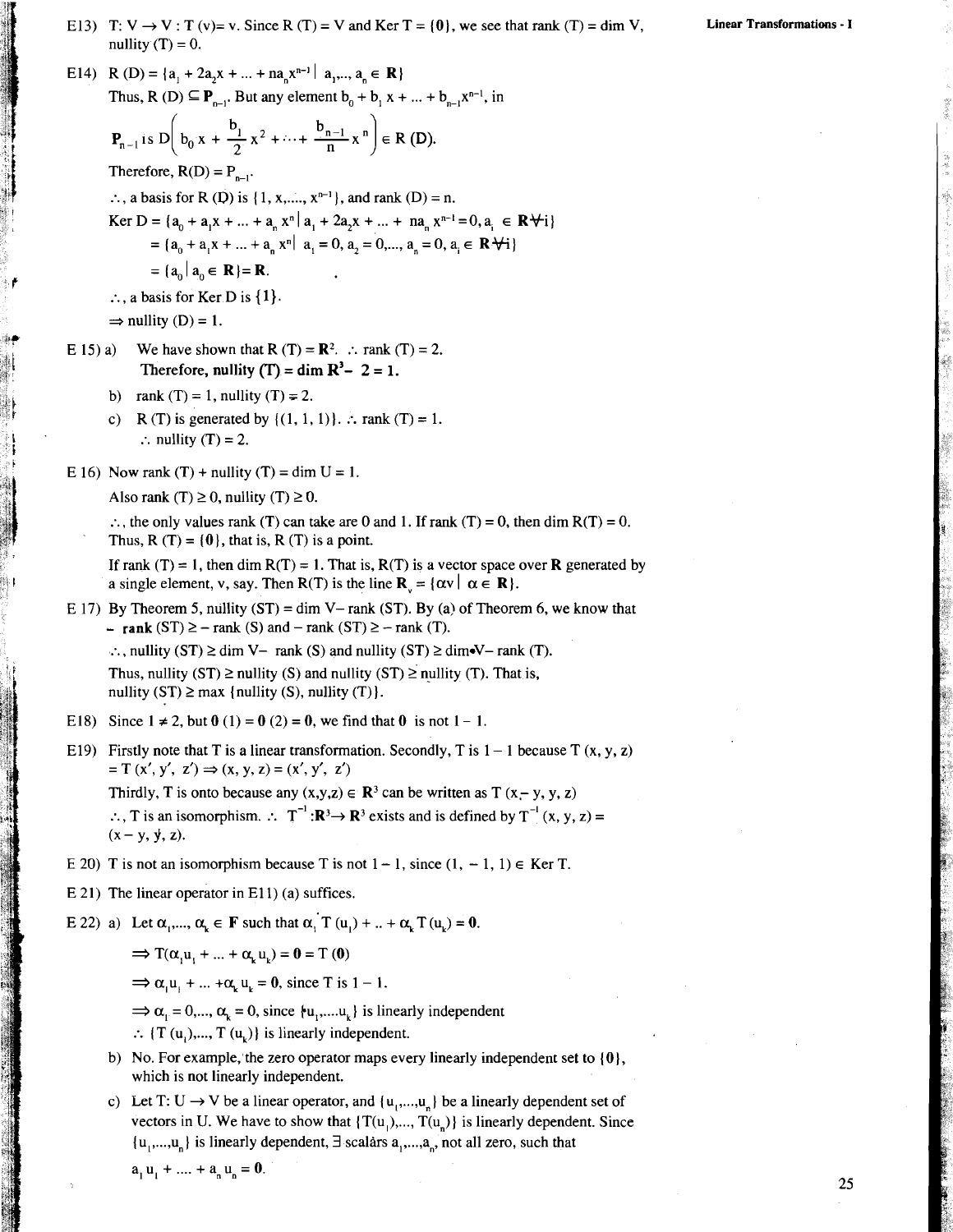E14) R (D) = { $a_1 + 2a_2x + ... + na_nx^{n-1}$  |  $a_2, ..., a_n \in \mathbb{R}$ } Thus, R (D)  $\subseteq$  **P**<sub>n-1</sub>. But any element  $b_0 + b_1 x + ... + b_{n-1} x^{n-1}$ , in  $+\cdots+\frac{b_{n-1}}{n}x^{n}$   $\in R(D).$ Therefore,  $R(D) = P_{n-1}$ .  $\therefore$ , a basis for R (D) is {1, x, \dots, x<sup>n-1}</sup>, and rank (D) = n. Ker D = { $a_n + a_1x + ... + a_nx^n | a_1 + 2a_2x + ... + na_nx^{n-1} = 0$ ,  $a_n \in \mathbb{R}$   $\forall i$  }  $= {a_0 + a_1 x + ... + a_n x^n | a_1 = 0, a_2 = 0,..., a_n = 0, a_i \in \mathbb{R} \setminus i}$  $= |a_{0}| a_{0} \in \mathbb{R}$  = **R**.  $\therefore$ , a basis for Ker D is  $\{1\}$ .  $\Rightarrow$  nullity (D) = 1. E 15) a) We have shown that R  $(T) = \mathbb{R}^2$ . :. rank  $(T) = 2$ . Therefore, nullity  $(T) = \dim R^3 - 2 = 1$ . b) rank  $(T) = 1$ , nullity  $(T) = 2$ . c) R(T) is generated by  $\{(1, 1, 1)\}\dots$  rank (T) = 1. : nullity  $(T) = 2$ . E 16) Now rank  $(T)$  + nullity  $(T)$  = dim U = 1. Also rank (T)  $\geq$  0, nullity (T)  $\geq$  0.  $\therefore$ , the only values rank (T) can take are 0 and 1. If rank (T) = 0, then dim R(T) = 0. Thus,  $R(T) = \{0\}$ , that is,  $R(T)$  is a point. If rank (T) = 1, then dim  $R(T) = 1$ . That is,  $R(T)$  is a vector space over **R** generated by a single element, v, say. Then R(T) is the line  $\mathbf{R}_{\cdot} = {\alpha v | \alpha \in \mathbf{R}}$ . E 17) By Theorem 5, nullity  $(ST) = \dim V - \text{rank} (ST)$ . By (a) of Theorem 6, we know that -  $\text{rank}(\text{ST}) \ge -\text{rank}(\text{S})$  and  $-\text{rank}(\text{ST}) \ge -\text{rank}(\text{T})$ . :.., nullity  $(ST) \ge \dim V$  - rank  $(S)$  and nullity  $(ST) \ge \dim V$  - rank  $(T)$ . Thus, nullity  $(ST) \geq nullity (S)$  and nullity  $(ST) \geq nullity (T)$ . That is, nullity  $(ST) \ge max$  {nullity  $(S)$ , nullity  $(T)$ }. E18) Since  $1 \neq 2$ , but  $0(1) = 0(2) = 0$ , we find that 0 is not  $1 - 1$ . E19) Firstly note that T is a linear transformation. Secondly, T is  $1 - 1$  because T  $(x, y, z)$  $= T (x', y', z') \Rightarrow (x, y, z) = (x', y', z')$ Thirdly, T is onto because any  $(x,y,z) \in \mathbb{R}^3$  can be written as T  $(x-y, y, z)$ 

 $\therefore$ , T is an isomorphism.  $\therefore$   $T^{-1}$ : $\mathbb{R}^3 \rightarrow \mathbb{R}^3$  exists and is defined by  $T^{-1}(x, y, z) =$  $(x - y, y, z)$ .

- E 20) T is not an isomorphism because T is not  $1 1$ , since  $(1, -1, 1) \in$  Ker T.
- E 21) The linear operator in E11) (a) suffices.
- E 22) a) Let  $\alpha_1, \ldots, \alpha_k \in \mathbf{F}$  such that  $\alpha_1 \uparrow (\mathbf{u}_1) + \ldots + \alpha_k \uparrow (\mathbf{u}_k) = 0$ .

 $\Rightarrow$  T( $\alpha, u_1 + ... + \alpha, u_k$ ) = **0** = T (**0**)

 $\Rightarrow \alpha_1 u_1 + ... + \alpha_k u_k = 0$ , since T is 1 – 1.<br>  $\Rightarrow \alpha_1 = 0,..., \alpha_k = 0$ , since  $\{u_1,...u_k\}$  is linearly independent

- $\therefore$  {T (u<sub>i</sub>),..., T (u<sub>i</sub>)} is linearly independent.
- b) No. For example, the zero operator maps every linearly independent set to  $\{0\}$ , which is not linearly independent.
- c) Let T: U  $\rightarrow$  V be a linear operator, and  $\{u_1,...,u_n\}$  be a linearly dependent set of vectors in U. We have to show that  $\{T(u_1),..., T(u_n)\}\)$  is linearly dependent. Since  $\{u_1,...,u_n\}$  is linearly dependent,  $\exists$  scalars  $a_1,...,a_n$ , not all zero, such that

 $a_1 u_1 + \dots + a_n u_n = 0.$